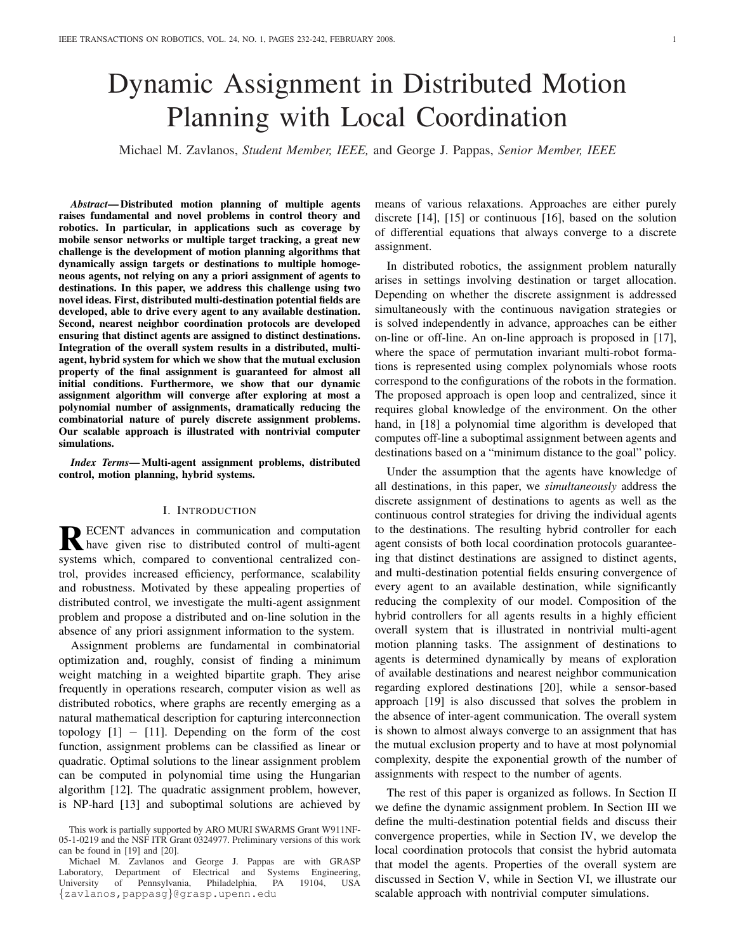# Dynamic Assignment in Distributed Motion Planning with Local Coordination

Michael M. Zavlanos, *Student Member, IEEE,* and George J. Pappas, *Senior Member, IEEE*

*Abstract*— Distributed motion planning of multiple agents raises fundamental and novel problems in control theory and robotics. In particular, in applications such as coverage by mobile sensor networks or multiple target tracking, a great new challenge is the development of motion planning algorithms that dynamically assign targets or destinations to multiple homogeneous agents, not relying on any a priori assignment of agents to destinations. In this paper, we address this challenge using two novel ideas. First, distributed multi-destination potential fields are developed, able to drive every agent to any available destination. Second, nearest neighbor coordination protocols are developed ensuring that distinct agents are assigned to distinct destinations. Integration of the overall system results in a distributed, multiagent, hybrid system for which we show that the mutual exclusion property of the final assignment is guaranteed for almost all initial conditions. Furthermore, we show that our dynamic assignment algorithm will converge after exploring at most a polynomial number of assignments, dramatically reducing the combinatorial nature of purely discrete assignment problems. Our scalable approach is illustrated with nontrivial computer simulations.

*Index Terms*— Multi-agent assignment problems, distributed control, motion planning, hybrid systems.

### I. INTRODUCTION

RECENT advances in communication and computation<br>have given rise to distributed control of multi-agent ECENT advances in communication and computation systems which, compared to conventional centralized control, provides increased efficiency, performance, scalability and robustness. Motivated by these appealing properties of distributed control, we investigate the multi-agent assignment problem and propose a distributed and on-line solution in the absence of any priori assignment information to the system.

Assignment problems are fundamental in combinatorial optimization and, roughly, consist of finding a minimum weight matching in a weighted bipartite graph. They arise frequently in operations research, computer vision as well as distributed robotics, where graphs are recently emerging as a natural mathematical description for capturing interconnection topology  $[1]$  –  $[11]$ . Depending on the form of the cost function, assignment problems can be classified as linear or quadratic. Optimal solutions to the linear assignment problem can be computed in polynomial time using the Hungarian algorithm [12]. The quadratic assignment problem, however, is NP-hard [13] and suboptimal solutions are achieved by means of various relaxations. Approaches are either purely discrete [14], [15] or continuous [16], based on the solution of differential equations that always converge to a discrete assignment.

In distributed robotics, the assignment problem naturally arises in settings involving destination or target allocation. Depending on whether the discrete assignment is addressed simultaneously with the continuous navigation strategies or is solved independently in advance, approaches can be either on-line or off-line. An on-line approach is proposed in [17], where the space of permutation invariant multi-robot formations is represented using complex polynomials whose roots correspond to the configurations of the robots in the formation. The proposed approach is open loop and centralized, since it requires global knowledge of the environment. On the other hand, in [18] a polynomial time algorithm is developed that computes off-line a suboptimal assignment between agents and destinations based on a "minimum distance to the goal" policy.

Under the assumption that the agents have knowledge of all destinations, in this paper, we *simultaneously* address the discrete assignment of destinations to agents as well as the continuous control strategies for driving the individual agents to the destinations. The resulting hybrid controller for each agent consists of both local coordination protocols guaranteeing that distinct destinations are assigned to distinct agents, and multi-destination potential fields ensuring convergence of every agent to an available destination, while significantly reducing the complexity of our model. Composition of the hybrid controllers for all agents results in a highly efficient overall system that is illustrated in nontrivial multi-agent motion planning tasks. The assignment of destinations to agents is determined dynamically by means of exploration of available destinations and nearest neighbor communication regarding explored destinations [20], while a sensor-based approach [19] is also discussed that solves the problem in the absence of inter-agent communication. The overall system is shown to almost always converge to an assignment that has the mutual exclusion property and to have at most polynomial complexity, despite the exponential growth of the number of assignments with respect to the number of agents.

The rest of this paper is organized as follows. In Section II we define the dynamic assignment problem. In Section III we define the multi-destination potential fields and discuss their convergence properties, while in Section IV, we develop the local coordination protocols that consist the hybrid automata that model the agents. Properties of the overall system are discussed in Section V, while in Section VI, we illustrate our scalable approach with nontrivial computer simulations.

This work is partially supported by ARO MURI SWARMS Grant W911NF-05-1-0219 and the NSF ITR Grant 0324977. Preliminary versions of this work can be found in [19] and [20].

Michael M. Zavlanos and George J. Pappas are with GRASP Laboratory, Department of Electrical and Systems Engineering,<br>
University of Pennsylvania. Philadelphia, PA 19104, USA University of Pennsylvania, Philadelphia, PA 19104, {zavlanos,pappasg}@grasp.upenn.edu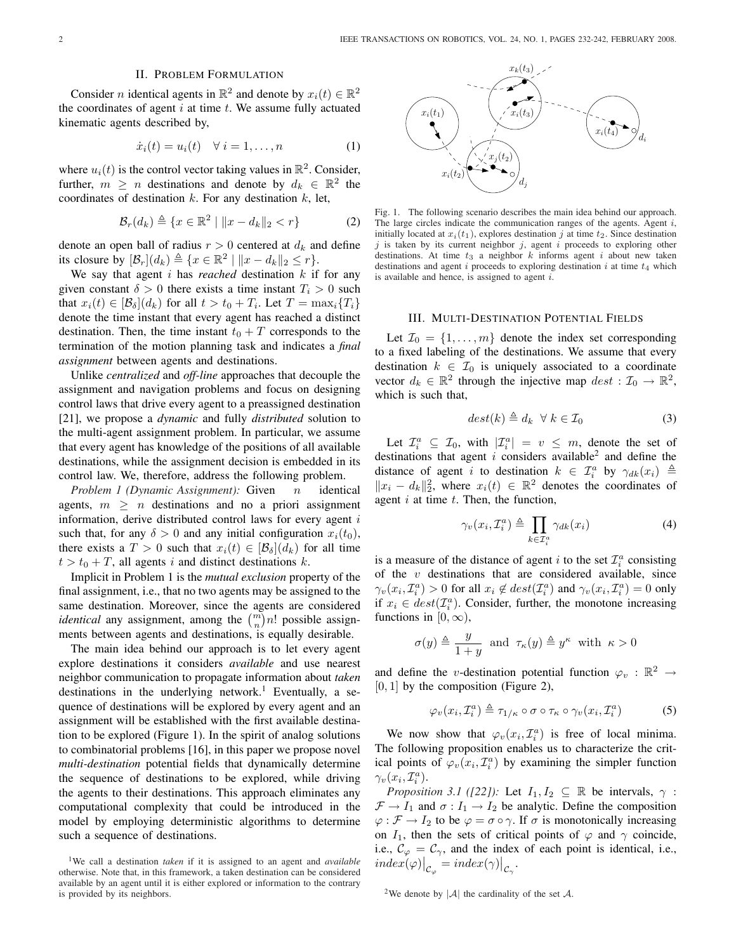## II. PROBLEM FORMULATION

Consider *n* identical agents in  $\mathbb{R}^2$  and denote by  $x_i(t) \in \mathbb{R}^2$ the coordinates of agent  $i$  at time  $t$ . We assume fully actuated kinematic agents described by,

$$
\dot{x}_i(t) = u_i(t) \quad \forall \ i = 1, \dots, n \tag{1}
$$

where  $u_i(t)$  is the control vector taking values in  $\mathbb{R}^2$ . Consider, further,  $m \geq n$  destinations and denote by  $d_k \in \mathbb{R}^2$  the coordinates of destination  $k$ . For any destination  $k$ , let,

$$
\mathcal{B}_r(d_k) \triangleq \{x \in \mathbb{R}^2 \mid ||x - d_k||_2 < r\} \tag{2}
$$

denote an open ball of radius  $r > 0$  centered at  $d_k$  and define its closure by  $[\mathcal{B}_r](d_k) \triangleq \{x \in \mathbb{R}^2 \mid ||x - d_k||_2 \leq r\}.$ 

We say that agent  $i$  has *reached* destination  $k$  if for any given constant  $\delta > 0$  there exists a time instant  $T_i > 0$  such that  $x_i(t) \in [\mathcal{B}_{\delta}](d_k)$  for all  $t > t_0 + T_i$ . Let  $T = \max_i \{T_i\}$ denote the time instant that every agent has reached a distinct destination. Then, the time instant  $t_0 + T$  corresponds to the termination of the motion planning task and indicates a *final assignment* between agents and destinations.

Unlike *centralized* and *off-line* approaches that decouple the assignment and navigation problems and focus on designing control laws that drive every agent to a preassigned destination [21], we propose a *dynamic* and fully *distributed* solution to the multi-agent assignment problem. In particular, we assume that every agent has knowledge of the positions of all available destinations, while the assignment decision is embedded in its control law. We, therefore, address the following problem.

*Problem 1 (Dynamic Assignment):* Given *n* identical agents,  $m > n$  destinations and no a priori assignment information, derive distributed control laws for every agent  $i$ such that, for any  $\delta > 0$  and any initial configuration  $x_i(t_0)$ , there exists a  $T > 0$  such that  $x_i(t) \in [\mathcal{B}_{\delta}](d_k)$  for all time  $t > t_0 + T$ , all agents i and distinct destinations k.

Implicit in Problem 1 is the *mutual exclusion* property of the final assignment, i.e., that no two agents may be assigned to the same destination. Moreover, since the agents are considered same destination. Moreover, since the agents are considered *identical* any assignment, among the  $\binom{m}{n}n!$  possible assignments between agents and destinations, is equally desirable.

The main idea behind our approach is to let every agent explore destinations it considers *available* and use nearest neighbor communication to propagate information about *taken* destinations in the underlying network.<sup>1</sup> Eventually, a sequence of destinations will be explored by every agent and an assignment will be established with the first available destination to be explored (Figure 1). In the spirit of analog solutions to combinatorial problems [16], in this paper we propose novel *multi-destination* potential fields that dynamically determine the sequence of destinations to be explored, while driving the agents to their destinations. This approach eliminates any computational complexity that could be introduced in the model by employing deterministic algorithms to determine such a sequence of destinations.



Fig. 1. The following scenario describes the main idea behind our approach. The large circles indicate the communication ranges of the agents. Agent i, initially located at  $x_i(t_1)$ , explores destination j at time  $t_2$ . Since destination  $j$  is taken by its current neighbor  $j$ , agent  $i$  proceeds to exploring other destinations. At time  $t_3$  a neighbor  $k$  informs agent  $i$  about new taken destinations and agent i proceeds to exploring destination i at time  $t_4$  which is available and hence, is assigned to agent  $i$ .

## III. MULTI-DESTINATION POTENTIAL FIELDS

Let  $\mathcal{I}_0 = \{1, \ldots, m\}$  denote the index set corresponding to a fixed labeling of the destinations. We assume that every destination  $k \in \mathcal{I}_0$  is uniquely associated to a coordinate vector  $d_k \in \mathbb{R}^2$  through the injective map  $dest : \mathcal{I}_0 \to \mathbb{R}^2$ , which is such that,

$$
dest(k) \triangleq d_k \ \ \forall \ k \in \mathcal{I}_0 \tag{3}
$$

Let  $\mathcal{I}_i^a \subseteq \mathcal{I}_0$ , with  $|\mathcal{I}_i^a| = v \leq m$ , denote the set of destinations that agent i considers available<sup>2</sup> and define the distance of agent *i* to destination  $k \in \mathcal{I}_i^a$  by  $\gamma_{dk}(x_i) \triangleq$  $||x_i - d_k||_2^2$ , where  $x_i(t)$  ∈  $\mathbb{R}^2$  denotes the coordinates of agent  $i$  at time  $t$ . Then, the function,

$$
\gamma_v(x_i, \mathcal{I}_i^a) \triangleq \prod_{k \in \mathcal{I}_i^a} \gamma_{dk}(x_i) \tag{4}
$$

is a measure of the distance of agent i to the set  $\mathcal{I}_i^a$  consisting of the  $v$  destinations that are considered available, since  $\gamma_v(x_i, \mathcal{I}_i^a) > 0$  for all  $x_i \notin dest(\mathcal{I}_i^a)$  and  $\gamma_v(x_i, \mathcal{I}_i^a) = 0$  only if  $x_i \in dest(\mathcal{I}_i^a)$ . Consider, further, the monotone increasing functions in  $[0, \infty)$ ,

$$
\sigma(y) \triangleq \frac{y}{1+y} \text{ and } \tau_{\kappa}(y) \triangleq y^{\kappa} \text{ with } \kappa > 0
$$

and define the v-destination potential function  $\varphi_v : \mathbb{R}^2 \to$  $[0, 1]$  by the composition (Figure 2),

$$
\varphi_v(x_i, \mathcal{I}_i^a) \triangleq \tau_{1/\kappa} \circ \sigma \circ \tau_\kappa \circ \gamma_v(x_i, \mathcal{I}_i^a)
$$
 (5)

We now show that  $\varphi_v(x_i, \mathcal{I}_i^a)$  is free of local minima. The following proposition enables us to characterize the critical points of  $\varphi_v(x_i, \mathcal{I}_i^a)$  by examining the simpler function  $\gamma_v(x_i, \mathcal{I}_i^a)$ .

*Proposition 3.1 ([22]):* Let  $I_1, I_2 \subseteq \mathbb{R}$  be intervals,  $\gamma$ :  $\mathcal{F} \to I_1$  and  $\sigma : I_1 \to I_2$  be analytic. Define the composition  $\varphi : \mathcal{F} \to I_2$  to be  $\varphi = \sigma \circ \gamma$ . If  $\sigma$  is monotonically increasing on  $I_1$ , then the sets of critical points of  $\varphi$  and  $\gamma$  coincide, i.e.,  $\mathcal{C}_{\varphi} = \mathcal{C}_{\gamma}$ , and the index of each point is identical, i.e.,  $index(\varphi)|_{\mathcal{C}_{\varphi}} = index(\gamma)|_{\mathcal{C}_{\gamma}}.$ 

<sup>2</sup>We denote by  $|\mathcal{A}|$  the cardinality of the set  $\mathcal{A}$ .

<sup>1</sup>We call a destination *taken* if it is assigned to an agent and *available* otherwise. Note that, in this framework, a taken destination can be considered available by an agent until it is either explored or information to the contrary is provided by its neighbors.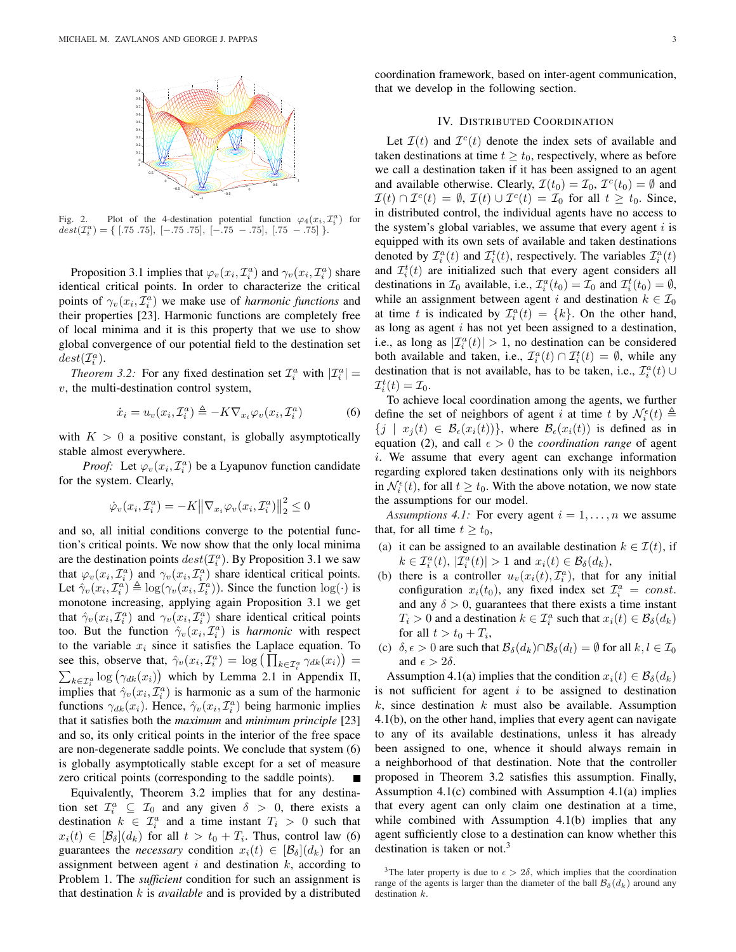

Fig. 2. Plot of the 4-destination potential function  $\varphi_4(x_i, \mathcal{I}_i^a)$  for  $\text{dest}(\mathcal{I}_i^a) = \{ [.75 \ .75], [-.75 \ .75], [-.75 \ -.75], [.75 \ -.75] \}.$ 

Proposition 3.1 implies that  $\varphi_v(x_i, \mathcal{I}_i^a)$  and  $\gamma_v(x_i, \mathcal{I}_i^a)$  share identical critical points. In order to characterize the critical points of  $\gamma_v(x_i, \mathcal{I}_i^a)$  we make use of *harmonic functions* and their properties [23]. Harmonic functions are completely free of local minima and it is this property that we use to show global convergence of our potential field to the destination set  $dest(\mathcal{I}_i^a)$ .

*Theorem 3.2:* For any fixed destination set  $\mathcal{I}_i^a$  with  $|\mathcal{I}_i^a|$  =  $v$ , the multi-destination control system,

$$
\dot{x}_i = u_v(x_i, \mathcal{I}_i^a) \triangleq -K \nabla_{x_i} \varphi_v(x_i, \mathcal{I}_i^a)
$$
(6)

with  $K > 0$  a positive constant, is globally asymptotically stable almost everywhere.

*Proof:* Let  $\varphi_v(x_i, \mathcal{I}_i^a)$  be a Lyapunov function candidate for the system. Clearly,

$$
\dot{\varphi}_v(x_i, \mathcal{I}_i^a) = -K \left\| \nabla_{x_i} \varphi_v(x_i, \mathcal{I}_i^a) \right\|_2^2 \le 0
$$

and so, all initial conditions converge to the potential function's critical points. We now show that the only local minima are the destination points  $dest(\mathcal{I}_i^a)$ . By Proposition 3.1 we saw that  $\varphi_v(x_i, \mathcal{I}_i^a)$  and  $\gamma_v(x_i, \mathcal{I}_i^a)$  share identical critical points. Let  $\hat{\gamma}_v(x_i, \mathcal{I}_i^a) \triangleq \log(\gamma_v(x_i, \mathcal{I}_i^a))$ . Since the function  $\log(\cdot)$  is monotone increasing, applying again Proposition 3.1 we get that  $\hat{\gamma}_v(x_i, \mathcal{I}_i^a)$  and  $\gamma_v(x_i, \mathcal{I}_i^a)$  share identical critical points too. But the function  $\hat{\gamma}_v(x_i, \mathcal{I}^a_i)$  is *harmonic* with respect to the variable  $x_i$  since it satisfies the Laplace equation. To to the variable  $x_i$  since it satisfies the Laplace equation. To<br>see this, observe that,  $\hat{\gamma}_v(x_i, \mathcal{I}_i^a) = \log \left( \prod_{k \in \mathcal{I}_i^a} \gamma_{dk}(x_i) \right) =$ i log  $(\gamma_{dk}(x_i))$  which by Lemma 2.1 in Appendix II, implies that  $\hat{\gamma}_v(x_i, \mathcal{I}^a_i)$  is harmonic as a sum of the harmonic functions  $\gamma_{dk}(x_i)$ . Hence,  $\hat{\gamma}_v(x_i, \mathcal{I}_i^a)$  being harmonic implies that it satisfies both the *maximum* and *minimum principle* [23] and so, its only critical points in the interior of the free space are non-degenerate saddle points. We conclude that system (6) is globally asymptotically stable except for a set of measure zero critical points (corresponding to the saddle points).

Equivalently, Theorem 3.2 implies that for any destination set  $\mathcal{I}_i^a \subseteq \mathcal{I}_0$  and any given  $\delta > 0$ , there exists a destination  $k \in \mathcal{I}_i^a$  and a time instant  $T_i > 0$  such that  $x_i(t) \in [\mathcal{B}_\delta](d_k)$  for all  $t > t_0 + T_i$ . Thus, control law (6) guarantees the *necessary* condition  $x_i(t) \in [\mathcal{B}_{\delta}](d_k)$  for an assignment between agent  $i$  and destination  $k$ , according to Problem 1. The *sufficient* condition for such an assignment is that destination  $k$  is *available* and is provided by a distributed coordination framework, based on inter-agent communication, that we develop in the following section.

## IV. DISTRIBUTED COORDINATION

Let  $\mathcal{I}(t)$  and  $\mathcal{I}^c(t)$  denote the index sets of available and taken destinations at time  $t \geq t_0$ , respectively, where as before we call a destination taken if it has been assigned to an agent and available otherwise. Clearly,  $\mathcal{I}(t_0) = \mathcal{I}_0$ ,  $\mathcal{I}^c(t_0) = \emptyset$  and  $\mathcal{I}(t) \cap \mathcal{I}^{c}(t) = \emptyset$ ,  $\mathcal{I}(t) \cup \mathcal{I}^{c}(t) = \mathcal{I}_{0}$  for all  $t \geq t_{0}$ . Since, in distributed control, the individual agents have no access to the system's global variables, we assume that every agent  $i$  is equipped with its own sets of available and taken destinations denoted by  $\mathcal{I}_i^a(t)$  and  $\mathcal{I}_i^t(t)$ , respectively. The variables  $\mathcal{I}_i^a(t)$ and  $\mathcal{I}_i^t(t)$  are initialized such that every agent considers all destinations in  $\mathcal{I}_0$  available, i.e.,  $\mathcal{I}_i^a(t_0) = \mathcal{I}_0$  and  $\mathcal{I}_i^t(t_0) = \emptyset$ , while an assignment between agent i and destination  $k \in \mathcal{I}_0$ at time t is indicated by  $\mathcal{I}_i^a(t) = \{k\}$ . On the other hand, as long as agent i has not yet been assigned to a destination, i.e., as long as  $|\mathcal{I}_i^a(t)| > 1$ , no destination can be considered both available and taken, i.e.,  $\mathcal{I}_i^a(t) \cap \mathcal{I}_i^t(t) = \emptyset$ , while any destination that is not available, has to be taken, i.e.,  $\mathcal{I}_i^a(t)$  ∪  $\mathcal{I}_i^t(t)=\mathcal{I}_0.$ 

To achieve local coordination among the agents, we further define the set of neighbors of agent i at time t by  $\mathcal{N}_{i}^{\epsilon}(t) \triangleq$  ${j \mid x_j(t) \in \mathcal{B}_{\epsilon}(x_i(t))}$ , where  $\mathcal{B}_{\epsilon}(x_i(t))$  is defined as in equation (2), and call  $\epsilon > 0$  the *coordination range* of agent  $i$ . We assume that every agent can exchange information regarding explored taken destinations only with its neighbors in  $\mathcal{N}_{i}^{\epsilon}(t)$ , for all  $t \geq t_0$ . With the above notation, we now state the assumptions for our model.

*Assumptions 4.1:* For every agent  $i = 1, \ldots, n$  we assume that, for all time  $t \geq t_0$ ,

- (a) it can be assigned to an available destination  $k \in \mathcal{I}(t)$ , if  $k \in \mathcal{I}_i^a(t)$ ,  $|\mathcal{I}_i^a(t)| > 1$  and  $x_i(t) \in \mathcal{B}_\delta(d_k)$ ,
- (b) there is a controller  $u_v(x_i(t), \mathcal{I}_i^a)$ , that for any initial configuration  $x_i(t_0)$ , any fixed index set  $\mathcal{I}_i^a = const.$ and any  $\delta > 0$ , guarantees that there exists a time instant  $T_i > 0$  and a destination  $k \in \mathcal{I}_i^a$  such that  $x_i(t) \in \mathcal{B}_\delta(d_k)$ for all  $t > t_0 + T_i$ ,
- (c)  $\delta, \epsilon > 0$  are such that  $\mathcal{B}_{\delta}(d_k) \cap \mathcal{B}_{\delta}(d_l) = \emptyset$  for all  $k, l \in \mathcal{I}_0$ and  $\epsilon > 2\delta$ .

Assumption 4.1(a) implies that the condition  $x_i(t) \in \mathcal{B}_{\delta}(d_k)$ is not sufficient for agent  $i$  to be assigned to destination  $k$ , since destination  $k$  must also be available. Assumption 4.1(b), on the other hand, implies that every agent can navigate to any of its available destinations, unless it has already been assigned to one, whence it should always remain in a neighborhood of that destination. Note that the controller proposed in Theorem 3.2 satisfies this assumption. Finally, Assumption 4.1(c) combined with Assumption 4.1(a) implies that every agent can only claim one destination at a time, while combined with Assumption 4.1(b) implies that any agent sufficiently close to a destination can know whether this destination is taken or not.<sup>3</sup>

<sup>&</sup>lt;sup>3</sup>The later property is due to  $\epsilon > 2\delta$ , which implies that the coordination range of the agents is larger than the diameter of the ball  $\mathcal{B}_{\delta}(d_k)$  around any destination  $k$ .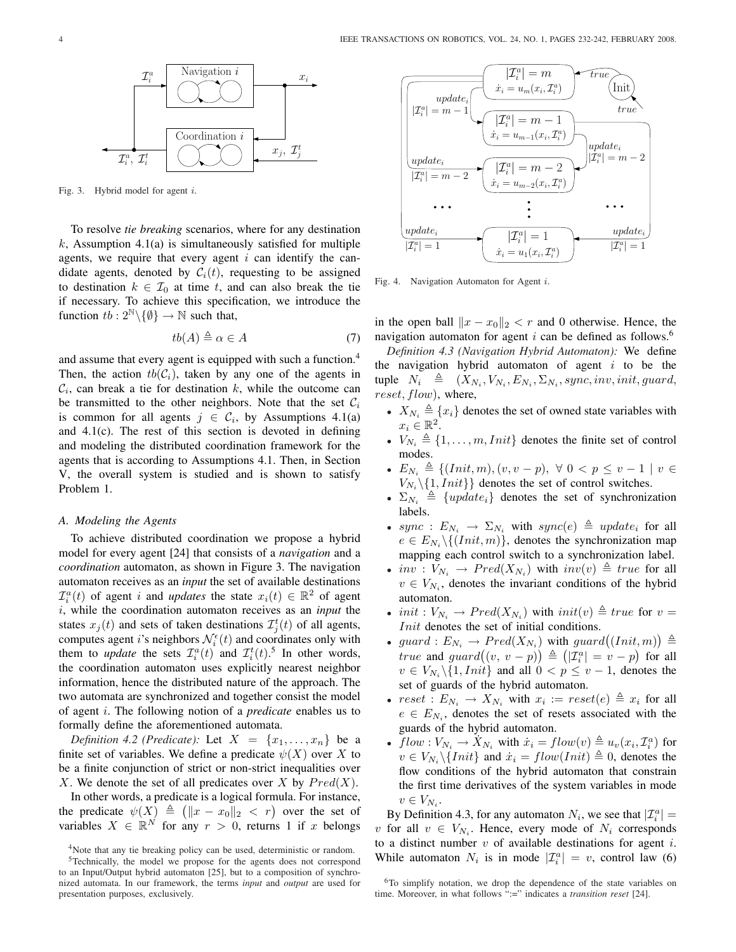

Fig. 3. Hybrid model for agent i.

To resolve *tie breaking* scenarios, where for any destination k, Assumption 4.1(a) is simultaneously satisfied for multiple agents, we require that every agent  $i$  can identify the candidate agents, denoted by  $C_i(t)$ , requesting to be assigned to destination  $k \in \mathcal{I}_0$  at time t, and can also break the tie if necessary. To achieve this specification, we introduce the function  $tb: 2^{\mathbb{N}}\backslash \{\emptyset\} \rightarrow \mathbb{N}$  such that,

$$
tb(A) \triangleq \alpha \in A \tag{7}
$$

and assume that every agent is equipped with such a function.<sup>4</sup> Then, the action  $tb(\mathcal{C}_i)$ , taken by any one of the agents in  $\mathcal{C}_i$ , can break a tie for destination k, while the outcome can be transmitted to the other neighbors. Note that the set  $\mathcal{C}_i$ is common for all agents  $j \in C_i$ , by Assumptions 4.1(a) and 4.1(c). The rest of this section is devoted in defining and modeling the distributed coordination framework for the agents that is according to Assumptions 4.1. Then, in Section V, the overall system is studied and is shown to satisfy Problem 1.

## *A. Modeling the Agents*

To achieve distributed coordination we propose a hybrid model for every agent [24] that consists of a *navigation* and a *coordination* automaton, as shown in Figure 3. The navigation automaton receives as an *input* the set of available destinations  $\mathcal{I}_i^a(t)$  of agent *i* and *updates* the state  $x_i(t) \in \mathbb{R}^2$  of agent i, while the coordination automaton receives as an *input* the states  $x_j(t)$  and sets of taken destinations  $\mathcal{I}_j^t(t)$  of all agents, computes agent *i*'s neighbors  $\mathcal{N}_{i}^{\epsilon}(t)$  and coordinates only with them to *update* the sets  $\mathcal{I}_i^a(t)$  and  $\mathcal{I}_i^t(t)$ .<sup>5</sup> In other words, the coordination automaton uses explicitly nearest neighbor information, hence the distributed nature of the approach. The two automata are synchronized and together consist the model of agent i. The following notion of a *predicate* enables us to formally define the aforementioned automata.

*Definition 4.2 (Predicate):* Let  $X = \{x_1, \ldots, x_n\}$  be a finite set of variables. We define a predicate  $\psi(X)$  over X to be a finite conjunction of strict or non-strict inequalities over X. We denote the set of all predicates over X by  $Pred(X)$ .

In other words, a predicate is a logical formula. For instance, In other words, a predicate is a logical formula. For instance,<br>the predicate  $\psi(X) \triangleq (||x - x_0||_2 < r)$  over the set of variables  $X \in \mathbb{R}^N$  for any  $r > 0$ , returns 1 if x belongs



Fig. 4. Navigation Automaton for Agent i.

in the open ball  $||x - x_0||_2 < r$  and 0 otherwise. Hence, the navigation automaton for agent  $i$  can be defined as follows.<sup>6</sup>

*Definition 4.3 (Navigation Hybrid Automaton):* We define the navigation hybrid automaton of agent  $i$  to be the tuple  $N_i \triangleq (X_{N_i}, V_{N_i}, E_{N_i}, \Sigma_{N_i}, sync, inv, init, guard,$ reset, flow), where,

- $X_{N_i} \triangleq \{x_i\}$  denotes the set of owned state variables with  $x_i \in \mathbb{R}^2$ .
- $V_{N_i} \triangleq \{1, \ldots, m, Init\}$  denotes the finite set of control modes.
- $E_{N_i} \triangleq \{ (Init, m), (v, v p), \forall 0 < p \le v 1 \mid v \in$  $V_{N_i} \setminus \{1,Init\}$  denotes the set of control switches.
- $\Sigma_{N_i} \triangleq \{update_i\}$  denotes the set of synchronization labels.
- sync :  $E_{N_i} \rightarrow \Sigma_{N_i}$  with sync(e)  $\triangleq$  update<sub>i</sub> for all  $e \in E_{N_i} \setminus \{ (Init, m) \},$  denotes the synchronization map mapping each control switch to a synchronization label.
- $inv: V_{N_i} \rightarrow Pred(X_{N_i})$  with  $inv(v) \triangleq true$  for all  $v \in V_{N_i}$ , denotes the invariant conditions of the hybrid automaton.
- init :  $V_{N_i} \rightarrow Pred(X_{N_i})$  with  $init(v) \triangleq true$  for  $v =$ Init denotes the set of initial conditions. ¢
- *Init* denotes the set of initial conditions.<br>
 guard :  $E_{N_i} \rightarrow Pred(X_{N_i})$  with guard((Init, m) ) with guard $((Init, m)) \triangleq$  $guara: E_{N_i} \to Prea(X_{N_i})$  with  $guara((nii, m)) \equiv$ <br>true and  $guard((v, v - p)) \triangleq (|\mathcal{I}_i^a| = v - p)$  for all  $v \in V_{N_i} \backslash \{1,Init\}$  and all  $0 < p \le v - 1$ , denotes the set of guards of the hybrid automaton.
- $reset : E_{N_i} \rightarrow X_{N_i}$  with  $x_i := reset(e) \triangleq x_i$  for all  $e \in E_{N_i}$ , denotes the set of resets associated with the guards of the hybrid automaton.
- $flow: V_{N_i} \to X_{N_i}$  with  $\dot{x}_i = flow(v) \triangleq u_v(x_i, \mathcal{I}_i^a)$  for  $v \in V_{N_i} \backslash \{Init \}$  and  $\dot{x}_i = flow(Init) \triangleq 0$ , denotes the flow conditions of the hybrid automaton that constrain the first time derivatives of the system variables in mode  $v \in V_{N_i}$ .

By Definition 4.3, for any automaton  $N_i$ , we see that  $|\mathcal{I}_i^a|$  = v for all  $v \in V_{N_i}$ . Hence, every mode of  $N_i$  corresponds to a distinct number  $v$  of available destinations for agent  $i$ . While automaton  $N_i$  is in mode  $|\mathcal{I}_i^a| = v$ , control law (6)

<sup>&</sup>lt;sup>4</sup>Note that any tie breaking policy can be used, deterministic or random.

<sup>5</sup>Technically, the model we propose for the agents does not correspond to an Input/Output hybrid automaton [25], but to a composition of synchronized automata. In our framework, the terms *input* and *output* are used for presentation purposes, exclusively.

<sup>&</sup>lt;sup>6</sup>To simplify notation, we drop the dependence of the state variables on time. Moreover, in what follows ":=" indicates a *transition reset* [24].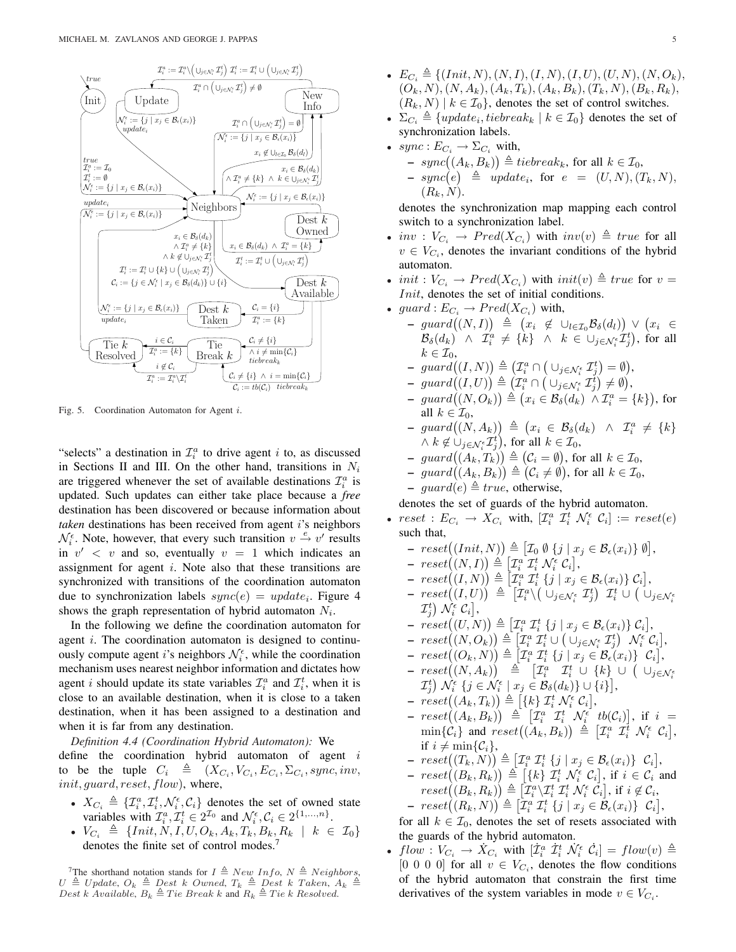

Fig. 5. Coordination Automaton for Agent i.

"selects" a destination in  $\mathcal{I}_i^a$  to drive agent *i* to, as discussed in Sections II and III. On the other hand, transitions in  $N_i$ are triggered whenever the set of available destinations  $\mathcal{I}_i^a$  is updated. Such updates can either take place because a *free* destination has been discovered or because information about *taken* destinations has been received from agent *i*'s neighbors  $\mathcal{N}_{i}^{\epsilon}$ . Note, however, that every such transition  $v \stackrel{e}{\rightarrow} v'$  results in  $v' < v$  and so, eventually  $v = 1$  which indicates an assignment for agent  $i$ . Note also that these transitions are synchronized with transitions of the coordination automaton due to synchronization labels  $sync(e) = update_i$ . Figure 4 shows the graph representation of hybrid automaton  $N_i$ .

In the following we define the coordination automaton for agent *i*. The coordination automaton is designed to continuously compute agent *i*'s neighbors  $\mathcal{N}_{i}^{\epsilon}$ , while the coordination mechanism uses nearest neighbor information and dictates how agent *i* should update its state variables  $\mathcal{I}_i^a$  and  $\mathcal{I}_i^t$ , when it is close to an available destination, when it is close to a taken destination, when it has been assigned to a destination and when it is far from any destination.

*Definition 4.4 (Coordination Hybrid Automaton):* We define the coordination hybrid automaton of agent  $i$ to be the tuple  $C_i \triangleq (X_{C_i}, V_{C_i}, E_{C_i}, \Sigma_{C_i}, sync, inv,$ init, guard, reset, flow), where,

- $X_{C_i} \triangleq \{ \mathcal{I}_i^a, \mathcal{I}_i^t, \mathcal{N}_i^{\epsilon}, \mathcal{C}_i \}$  denotes the set of owned state variables with  $\mathcal{I}_i^a, \mathcal{I}_i^t \in 2^{\mathcal{I}_0}$  and  $\mathcal{N}_i^{\epsilon}, \mathcal{C}_i \in 2^{\{1, \ldots, n\}}$ .
- $V_{C_i} \triangleq \{Init, N, I, U, O_k, A_k, T_k, B_k, R_k \mid k \in \mathcal{I}_0 \}$ denotes the finite set of control modes.<sup>7</sup>
- $E_{C_i} \triangleq \{ (Init, N), (N, I), (I, N), (I, U), (U, N), (N, O_k),$  $(O_k, N), (N, A_k), (A_k, T_k), (A_k, B_k), (T_k, N), (B_k, R_k),$  $(R_k, N) \mid k \in \mathcal{I}_0$ , denotes the set of control switches.
- $\Sigma_{C_i} \triangleq \{update_i, tiebreak_k \mid k \in \mathcal{I}_0\}$  denotes the set of synchronization labels.
- $sync : E_{C_i} \rightarrow \Sigma_{C_i}$  with,
	- $\begin{aligned} &\text{inc } C_i \rightarrow \Delta C_i \text{ with,} \ &\text{-} \text{ sync}\big((A_k, B_k)\big) \triangleq tiebreak_k \text{, for all } k \in \mathcal{I}_0, \end{aligned}$
	- $= \text{sync}((A_k, D_k)) = \text{repre}_k, \text{ for all } k \in \mathcal{L}_0,$ <br>  $= \text{ sync}(e) \triangleq \text{ update}_i, \text{ for } e = (U, N), (T_k, N),$  $(R_k, N)$ .

denotes the synchronization map mapping each control switch to a synchronization label.

- $inv: V_{C_i} \rightarrow Pred(X_{C_i})$  with  $inv(v) \triangleq true$  for all  $v \in V_{C_i}$ , denotes the invariant conditions of the hybrid automaton.
- init :  $V_{C_i} \rightarrow Pred(X_{C_i})$  with  $init(v) \triangleq true$  for  $v =$ Init, denotes the set of initial conditions.
- guard :  $E_{C_i} \to Pred(X_{C_i})$  with,
	- $\begin{array}{lll} \mathcal{L} & \longrightarrow & \mathcal{L} \\ \mathcal{L}_i & \longrightarrow & \mathcal{L} \\ \mathcal{L}_i & \longrightarrow & \mathcal{L}_i \end{array}$  with,<br>  $\Rightarrow \quad \mathcal{L}_i \quad \text{and} \quad (N, I)$   $\triangleq \quad (x_i \quad \notin \cup_{l \in \mathcal{I}_0} \mathcal{B}_{\delta}(d_l))$ ¢ ∨ ¡  $\vee$   $(x_i$  ∈  $\mathcal{B}_{\delta}(d_k) \;\;\wedge\;\; \mathcal{I}^a_i \;\neq\; \{k\} \;\;\wedge\;\; k\;\in\; \cup_{j\in\mathcal{N}_i^{\epsilon}} \mathcal{I}^t_j), \;\text{for\;all}$  $k \in \mathcal{I}_0$ ,  $\kappa \in \mathcal{L}_0,$ <br>  $\quad \operatorname{guard}((I, N))$ ¢ ¡ ¡ ¢ ¢
	- $\triangleq$  $\mathcal{I}^a_i \cap$  $\cup_{j\in\mathcal{N}_i^\epsilon}\mathcal{I}_j^t$  $=\emptyset$  $(\bigcup_{j\in\mathcal{N}_{i}^{\epsilon}}\mathcal{I}_{j}^{t})=\emptyset,$
	- $\begin{array}{ll}\n\text{ } \text{ } \text{ } \text{ } \text{ } \text{ } & \text{ } \text{ } \text{ } & \text{ } \text{ } \text{ } & \text{ } \text{ } \text{ } & \text{ } \text{ } \text{ } & \text{ } \text{ } \text{ } & \text{ } \text{ } \text{ } & \text{ } \text{ } \text{ } & \text{ } \text{ } \text{ } & \text{ } & \text{ } \text{ } \text{ } & \text{ } \text{ } \text{ } & \text{ } \text{ } \text{ } & \text{ } \text{ } \text{ } & \text{ } \text{ }$
	- $\begin{array}{ll} \text{\textendash} & \text{\textendash} & \text{\textendash} \begin{array}{ll} \text{\textendash} & \text{\textendash} \begin{array}{ll} \text{\textendash} & \text{\textendash} \begin{array}{ll} \text{\textendash} & \text{\textendash} \begin{array}{ll} \text{\textendash} & \text{\textendash} & \text{\textendash} \begin{array}{ll} \text{\textendash} & \text{\textendash} & \text{\textendash} & \text{\textendash} & \text{\textendash} \begin{array}{ll} \text{\textendash} & \text{\textendash} & \text{\textendash} & \text{\textendash} & \text{\textendash} \begin$ ¢ , for all  $k \in \mathcal{I}_0$ , ¢
	- all  $\kappa \in L_0$ ,<br>  $\quad$  guard $((N, A_k))$  $\triangleq$  $\begin{cases} \n\triangleq \begin{cases} x_i \in \mathcal{B}_{\delta}(d_k) \land \mathcal{I}_i^a \neq \{k\} \n\end{cases} \n\end{cases}$  $\wedge k \notin \bigcup_{j \in \mathcal{N}_i^{\epsilon}} \mathcal{I}_j^t\big), \text{ for all } k \in \mathcal{I}_0,$
	- $\left(\lambda \kappa \notin \bigcup_{j \in \mathcal{N}_{i}^{\epsilon}} \mathcal{L}_{j}, \text{ for all } \kappa \in \mathcal{L}_{0},\right.$ <br>  $\left(\mathcal{L}_{i} = \emptyset\right), \text{ for all } \kappa \in \mathcal{I}_{0},$
	- $\begin{array}{ll} \text{-} & \text{guard}((A_k, I_k)) = (C_i = \emptyset), \text{ for all } k \in \mathcal{I}_0, \\ \text{-} & \text{guard}((A_k, B_k)) \triangleq (C_i \neq \emptyset), \text{ for all } k \in \mathcal{I}_0, \end{array}$
	- guard(e)  $\triangleq true$ , otherwise,

denotes the set of guards of the hybrid automaton.

- $reset : E_{C_i} \rightarrow X_{C_i}$  with,  $[\mathcal{I}_i^a \ \mathcal{I}_i^t \ \mathcal{N}_i^{\epsilon} \ \mathcal{C}_i] := reset(e)$ such that, ¢
	- $reset((Init, N))$  $\triangleq$  $N) \triangleq [\mathcal{I}_0 \emptyset \{j \mid x_j \in \mathcal{B}_{\epsilon}(x_i)\}\emptyset],$
	- $\frac{1}{2}$ £
	- $\begin{array}{l} \text{--} \ \text{--} \ \text{--} \ \text{--} \ \text{--} \ \text{--} \ \text{--} \ \text{--} \ \text{--} \ \text{--} \ \text{--} \ \text{--} \ \text{--} \ \text{--} \ \text{--} \ \text{--} \ \text{--} \ \text{--} \ \text{--} \ \text{--} \ \text{--} \ \text{--} \ \text{--} \ \text{--} \ \text{--} \ \text{--} \ \text{--} \ \text{--} \ \text{--} \ \text{--} \ \text{--} \ \text{--} \ \text{--} \ \text{--} \ \text{--} \ \text{$  $\triangleq$  $\mathcal{I}_i^a \mathcal{I}_i^t \{j \mid x_j \in \mathcal{B}_{\epsilon}(x_i)\} \mathcal{C}_i$ l<br>E  $\big) \triangleq \big[ \mathcal{I}_i^a \ \mathcal{I}_i^t \ \{ j \mid x_j \in \mathcal{B}_{\epsilon}(x_i) \} \ \mathcal{C}_i \big],$
	- $\begin{array}{rl} -\,\,\textit{reset}((I, N)) \,=\, [L_i\,\,L_i\,\,\{J\mid T_j\,\in\,\mathcal{D}_\epsilon(\mathcal{X}_i)\}\,C_i],\ -\,\,\textit{reset}((I, U)) \,\,\triangleq\,\,\big[\mathcal{I}_i^a\setminus\big(\cup_{j\in\mathcal{N}_i^{\epsilon}}\,\mathcal{I}_j^t\big)\,\,\,\mathcal{I}_i^t \,\,\cup\,\,\big(\cup_{j\in\mathcal{N}_i^{\epsilon}}\,\,\big] \end{array}$  $\mathcal{I}^t_j\big) \; \mathcal{N}^{\epsilon}_i \; \mathcal{C}_i\big],$ ¢ £ ¤
	- $\mathcal{L}_j$ )  $\mathcal{N}_i$   $\mathcal{C}_i$ ,<br>-  $reset((U, N))$  $\triangleq$  $\mathcal{I}_i^a \mathcal{I}_i^t \{j \mid x_j \in \mathcal{B}_{\epsilon}(x_i)\} \mathcal{C}_i$  $\triangleq \left[ \mathcal{I}_i^a \ \mathcal{I}_i^t \ \{j \ \big| \ x_j \in \mathcal{B}_{\epsilon}(x_i) \} \ \mathcal{C}_i \right],$
	- $\begin{aligned} \textit{--} \; \; \textit{reset}((U,N)) \equiv [\textit{L}_i^{\scriptscriptstyle{\text{T}}} \; \textit{L}_i^{\scriptscriptstyle{\text{T}}} \; \{J \; \vert \; \textit{U}_j \in \mathcal{S}_{\epsilon}(\textit{L}_i^{\scriptscriptstyle{\text{T}}})\} \; \textit{C}_i], \ \textit{--} \; \; \textit{reset}((N, O_k)) \triangleq [\textit{L}_i^{\scriptscriptstyle{\text{T}}} \; \textit{L}_i^{\scriptscriptstyle{\text{T}}} \; \cup \; (\cup_{j \in \mathcal{N}_i^{\scriptscriptstyle{\text{T}}} } \; \textit{L}_j^{\script$ l<br>E  $\bigcup_{i=1}^{\infty}\mathcal{I}_{i}^{a}\ \mathcal{I}_{i}^{t}\cup\big(\cup_{j\in\mathcal{N}_{i}^{\epsilon}}\mathcal{I}_{j}^{t}\big)\ \ \mathcal{N}_{i}^{\epsilon}\ \mathcal{C}_{i}\big],$
	- $\begin{array}{lll} & \textit{reset}((N, \textit{O}_k)) = \left[ L_i \enspace L_i \cup (\cup_{j \in \mathcal{N}_i^{\varepsilon}} L_j) \enspace \textit{N}_i \enspace \textit{C}_i \right], \ & \textit{reset}((\textit{O}_k, N)) \triangleq \left[ \mathcal{I}_i^a \enspace \mathcal{I}_i^t \enspace \{j \enspace \mid x_j \in \mathcal{B}_{\varepsilon}(x_i) \} \enspace \mathcal{C}_i \right], \end{array}$
	- $\begin{array}{lll} & \text{reset}((\mathcal{O}_k, N)) = \lfloor L_i^\top L_i^\top \{J \mid \mathcal{X}_j \in \mathcal{B}_{\epsilon}(\mathcal{X}_i)\} \end{array}$   $\mathcal{L}_i^i, \ \mathcal{L}_j^i \cup \{k\} \cup \left( \bigcup_{j \in \mathcal{N}_i^\epsilon} \mathcal{L}_j^\top \cup \{k\} \right)$  $\mathcal{I}_{j}^{t}$  )  $\mathcal{N}_{i}^{\epsilon}$  { $j \in \mathcal{N}_{i}^{\epsilon}$  |  $x_{j} \in \mathcal{B}_{\delta}(d_{k})$  }  $\cup$  { $i$  } ],
	- $\mathcal{L}_j$   $\mathcal{N}_i$   $\{J \in \mathcal{N}_i \mid x_j \in \mathcal{D}_{\delta}(a_k) \} \cup \{-\ \text{reset}((A_k, T_k)) \triangleq [\{k\} \mathcal{I}_i^t \mathcal{N}_i^{\epsilon} \mathcal{C}_i],$
	- $\;reset((A_k, I_k)) = [\{k\} \; L_i \; N_i \; C_i],\ \; reset((A_k, B_k)) \; \triangleq \; \left[ I_i^a \; \; I_i^t \; \; N_i^{\epsilon} \; \; tb(C_i) \right]$ l<br>E  $\mathcal{N}_{i}^{\epsilon}$  tb $(\mathcal{C}_{i})$ , if  $i =$  $\begin{array}{rcl} \mathit{reset}((A_k, B_k)) & = & [L_i \quad L_i \quad \mathcal{N}_i \quad \iota_0(\mathsf{C}_i)], \; \mathsf{H} \; \; i = \min\{\mathcal{C}_i\} \; \; \text{and} \; \; \mathit{reset}((A_k, B_k)) \triangleq \left[\mathcal{I}_i^a \; \; \mathcal{I}_i^t \; \mathcal{N}_i^{\epsilon} \; \mathcal{C}_i\right], \end{array}$ if  $i \neq \min\{\mathcal{C}_i\},\$ £ ¤
	- $\begin{array}{lll} \text{if } i\neq \min\{C_i\},\\ -& \text{reset}((T_k,N))\triangleq \end{array}$  $\mathcal{I}_i^a \mathcal{I}_i^t \{j \mid x_j \in \mathcal{B}_{\epsilon}(x_i)\} \mathcal{C}_i$  $\triangleq \left[\mathcal{I}_i^a \ \mathcal{I}_i^t \ \{j \mid x_j \in \mathcal{B}_{\epsilon}(x_i)\} \ \mathcal{C}_i\right],$
	- $-$  reset $((1_k, N)) = [x_i \ x_i \ (f \ x_j \in \mathcal{B}_{\epsilon}(x_i)) \ c_i],$ <br>  $-$  reset $((B_k, R_k)) \triangleq [\{k\} \ \mathcal{I}_i^t \ \mathcal{N}_i^{\epsilon} \ C_i],$  if  $i \in \mathcal{C}_i$  and  $\begin{array}{lll} \mathit{reset}((B_k, R_k)) = & \left[\{k\} \ L_i \ N_i \ C_i\right], \ \text{if} \ \ i \in \mathcal{C}_i \ i \ \mathit{reset}((B_k, R_k)) \triangleq & \left[\mathcal{I}_i^a \setminus \mathcal{I}_i^t \ \mathcal{I}_i^t \ N_i^c \ C_i\right], \ \text{if} \ \ i \notin \mathcal{C}_i, \end{array}$
	- $\begin{array}{l} \mathcal{L} = \{x_i \setminus (x_i, x_i) \in [x_i, x_i, x_i] \text{, in } i \notin \mathcal{C}_i\},\\ \mathcal{L} = \mathcal{L} = \mathcal{L} \left( (R_k, N) \right) \triangleq \left[ \mathcal{I}_i^a \mathcal{I}_i^t \{j \mid x_j \in \mathcal{B}_{\epsilon}(x_i) \} \right] \mathcal{C}_i \right], \end{array}$

for all  $k \in \mathcal{I}_0$ , denotes the set of resets associated with the guards of the hybrid automaton.

•  $flow: V_{C_i} \rightarrow \dot{X}_{C_i}$  with  $[\dot{\mathcal{I}}_i^a \dot{\mathcal{I}}_i^t \dot{\mathcal{N}}_i^{\epsilon} \dot{\mathcal{C}}_i] = flow(v) \triangleq$ [0 0 0 0] for all  $v \in V_{C_i}$ , denotes the flow conditions of the hybrid automaton that constrain the first time derivatives of the system variables in mode  $v \in V_{C_i}$ .

<sup>&</sup>lt;sup>7</sup>The shorthand notation stands for  $I \triangleq New$  Info,  $N \triangleq Neighbors$ ,  $U \triangleq Update, O_k \triangleq Dest \; k \; Owned, T_k \triangleq Dest \; k \; Taken, A_k \triangleq$ Dest k Available,  $B_k \triangleq$  Tie Break k and  $R_k \triangleq$  Tie k Resolved.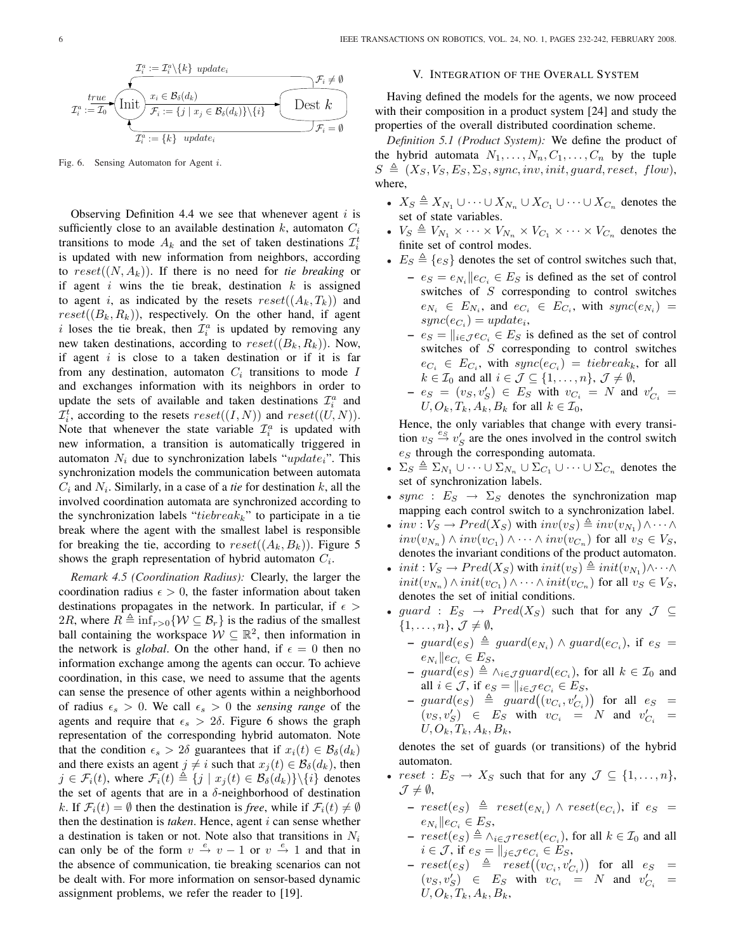

Fig. 6. Sensing Automaton for Agent i.

Observing Definition 4.4 we see that whenever agent  $i$  is sufficiently close to an available destination k, automaton  $C_i$ transitions to mode  $A_k$  and the set of taken destinations  $\mathcal{I}_i^t$ is updated with new information from neighbors, according to  $reset((N, A_k))$ . If there is no need for *tie breaking* or if agent i wins the tie break, destination  $k$  is assigned to agent i, as indicated by the resets  $reset((A_k, T_k))$  and  $reset((B_k, R_k))$ , respectively. On the other hand, if agent i loses the tie break, then  $\mathcal{I}_i^a$  is updated by removing any new taken destinations, according to  $reset((B_k, R_k))$ . Now, if agent  $i$  is close to a taken destination or if it is far from any destination, automaton  $C_i$  transitions to mode I and exchanges information with its neighbors in order to update the sets of available and taken destinations  $\mathcal{I}_i^a$  and  $\mathcal{I}_i^t$ , according to the resets  $reset((I, N))$  and  $reset((U, N))$ . Note that whenever the state variable  $\mathcal{I}_i^a$  is updated with new information, a transition is automatically triggered in automaton  $N_i$  due to synchronization labels "update<sub>i</sub>". This synchronization models the communication between automata  $C_i$  and  $N_i$ . Similarly, in a case of a *tie* for destination k, all the involved coordination automata are synchronized according to the synchronization labels "tiebreak<sub>k</sub>" to participate in a tie break where the agent with the smallest label is responsible for breaking the tie, according to  $reset((A_k, B_k))$ . Figure 5 shows the graph representation of hybrid automaton  $C_i$ .

*Remark 4.5 (Coordination Radius):* Clearly, the larger the coordination radius  $\epsilon > 0$ , the faster information about taken destinations propagates in the network. In particular, if  $\epsilon$  > 2R, where  $R \triangleq \inf_{r>0} \{ \mathcal{W} \subseteq \mathcal{B}_r \}$  is the radius of the smallest ball containing the workspace  $W \subseteq \mathbb{R}^2$ , then information in the network is *global*. On the other hand, if  $\epsilon = 0$  then no information exchange among the agents can occur. To achieve coordination, in this case, we need to assume that the agents can sense the presence of other agents within a neighborhood of radius  $\epsilon_s > 0$ . We call  $\epsilon_s > 0$  the *sensing range* of the agents and require that  $\epsilon_s > 2\delta$ . Figure 6 shows the graph representation of the corresponding hybrid automaton. Note that the condition  $\epsilon_s > 2\delta$  guarantees that if  $x_i(t) \in \mathcal{B}_{\delta}(d_k)$ and there exists an agent  $j \neq i$  such that  $x_i (t) \in \mathcal{B}_{\delta}(d_k)$ , then  $j \in \mathcal{F}_i(t)$ , where  $\mathcal{F}_i(t) \triangleq \{j \mid x_j (t) \in \mathcal{B}_{\delta}(d_k)\} \setminus \{i\}$  denotes the set of agents that are in a  $\delta$ -neighborhood of destination k. If  $\mathcal{F}_i(t) = \emptyset$  then the destination is *free*, while if  $\mathcal{F}_i(t) \neq \emptyset$ then the destination is *taken*. Hence, agent i can sense whether a destination is taken or not. Note also that transitions in  $N_i$ can only be of the form  $v \stackrel{e}{\rightarrow} v - 1$  or  $v \stackrel{e}{\rightarrow} 1$  and that in the absence of communication, tie breaking scenarios can not be dealt with. For more information on sensor-based dynamic assignment problems, we refer the reader to [19].

#### V. INTEGRATION OF THE OVERALL SYSTEM

Having defined the models for the agents, we now proceed with their composition in a product system [24] and study the properties of the overall distributed coordination scheme.

*Definition 5.1 (Product System):* We define the product of the hybrid automata  $N_1, \ldots, N_n, C_1, \ldots, C_n$  by the tuple  $S \triangleq (X_S, V_S, E_S, \Sigma_S, sync, inv, init, guard, reset, flow),$ where,

- $X_S \triangleq X_{N_1} \cup \cdots \cup X_{N_n} \cup X_{C_1} \cup \cdots \cup X_{C_n}$  denotes the set of state variables.
- $V_S \triangleq V_{N_1} \times \cdots \times V_{N_n} \times V_{C_1} \times \cdots \times V_{C_n}$  denotes the finite set of control modes.
- $E_S \triangleq \{e_S\}$  denotes the set of control switches such that,
	- $e_S = e_{N_i} || e_{C_i} \in E_S$  is defined as the set of control switches of S corresponding to control switches  $e_{N_i} \in E_{N_i}$ , and  $e_{C_i} \in E_{C_i}$ , with  $sync(e_{N_i})$  =  $sync(e_{C_i}) = update_i,$
	- $e_S = ||_{i \in \mathcal{J}} e_{C_i} \in E_S$  is defined as the set of control switches of  $S$  corresponding to control switches  $e_{C_i} \in E_{C_i}$ , with  $sync(e_{C_i}) = tiebreak_k$ , for all  $k \in \mathcal{I}_0$  and all  $i \in \mathcal{J} \subseteq \{1, \ldots, n\}, \mathcal{J} \neq \emptyset$ ,
	- $-e_S = (v_S, v_S') \in E_S$  with  $v_{C_i} = N$  and  $v'_{C_i} =$  $U, O_k, T_k, A_k, B_k$  for all  $k \in \mathcal{I}_0$ ,

Hence, the only variables that change with every transition  $v_S \stackrel{e_S}{\rightarrow} v_S'$  are the ones involved in the control switch  $e_S$  through the corresponding automata.

- $\Sigma_S \triangleq \Sigma_{N_1} \cup \cdots \cup \Sigma_{N_n} \cup \Sigma_{C_1} \cup \cdots \cup \Sigma_{C_n}$  denotes the set of synchronization labels.
- sync :  $E_S \rightarrow \Sigma_S$  denotes the synchronization map mapping each control switch to a synchronization label.
- $inv: V_S \to Pred(X_S)$  with  $inv(v_S) \triangleq inv(v_{N_1}) \wedge \cdots \wedge$  $inv(v_{N_n}) \wedge inv(v_{C_1}) \wedge \cdots \wedge inv(v_{C_n})$  for all  $v_S \in V_S$ , denotes the invariant conditions of the product automaton.
- init :  $V_S \to Pred(X_S)$  with  $init(v_S) \triangleq init(v_{N_1}) \wedge \cdots \wedge$  $init(v_{N_n}) \wedge init(v_{C_1}) \wedge \cdots \wedge init(v_{C_n})$  for all  $v_S \in V_S$ , denotes the set of initial conditions.
- guard :  $E_S \rightarrow Pred(X_S)$  such that for any  $\mathcal{J} \subseteq$  $\{1,\ldots,n\},\,\mathcal{J}\neq\emptyset,$ 
	- $\rightarrow$  guard(e<sub>S</sub>)  $\triangleq$  guard(e<sub>Ni</sub>) ∧ guard(e<sub>Ci</sub>), if e<sub>S</sub> =  $e_{N_i} || e_{C_i} \in E_S,$
	- ${−}$  guard $(e_S) \triangleq \wedge_{i \in \mathcal{J}} guard(e_{C_i})$ , for all  $k \in \mathcal{I}_0$  and all  $i \in \mathcal{J}$ , if  $e_S = ||_{i \in \mathcal{J}} e_{C_i} \in E_S$ , ¢
	- an  $i \in J$ ,  $n e_S = ||_{i \in J} e_{C_i} \in E_S$ ,<br>  $\quad$  guard $(e_S) \triangleq$  guard $((v_{C_i}, v'_{C_i}))$ for all  $e_S =$  $(v_S, v_S') \in E_S$  with  $v_{C_i} = N$  and  $v_{C_i}' =$  $U, O_k, T_k, A_k, B_k,$

denotes the set of guards (or transitions) of the hybrid automaton.

- $reset : E_S \rightarrow X_S$  such that for any  $\mathcal{J} \subseteq \{1, \ldots, n\},\$  $\mathcal{J} \neq \emptyset$ ,
	- $\,\,reset(e_S) \ \triangleq \,\, reset(e_{N_i}) \ \wedge \, reset(e_{C_i}), \,\, \text{if} \,\, \, e_S \,\, =$  $e_{N_i} || e_{C_i} \in E_S,$
	- $\,\,reset(e_S) \triangleq \land_{i \in \mathcal{J}} reset(e_{C_i})$ , for all  $k \in \mathcal{I}_0$  and all  $i \in \mathcal{J}$ , if  $e_S = ||_{j \in \mathcal{J}} e_{C_i} \in E_S$ , ¢
	- $i \in \mathcal{J}$ , if  $e_S = ||_{j \in \mathcal{J}} e_{C_i} \in E_S$ ,<br>  $\, reset(e_S) \triangleq \, reset((v_{C_i}, v'_{C_i}))$ for all  $e_S =$  $(v_S, v_S') \in E_S$  with  $v_{C_i} = N$  and  $v_{C_i}' =$  $U, O_k, T_k, A_k, B_k,$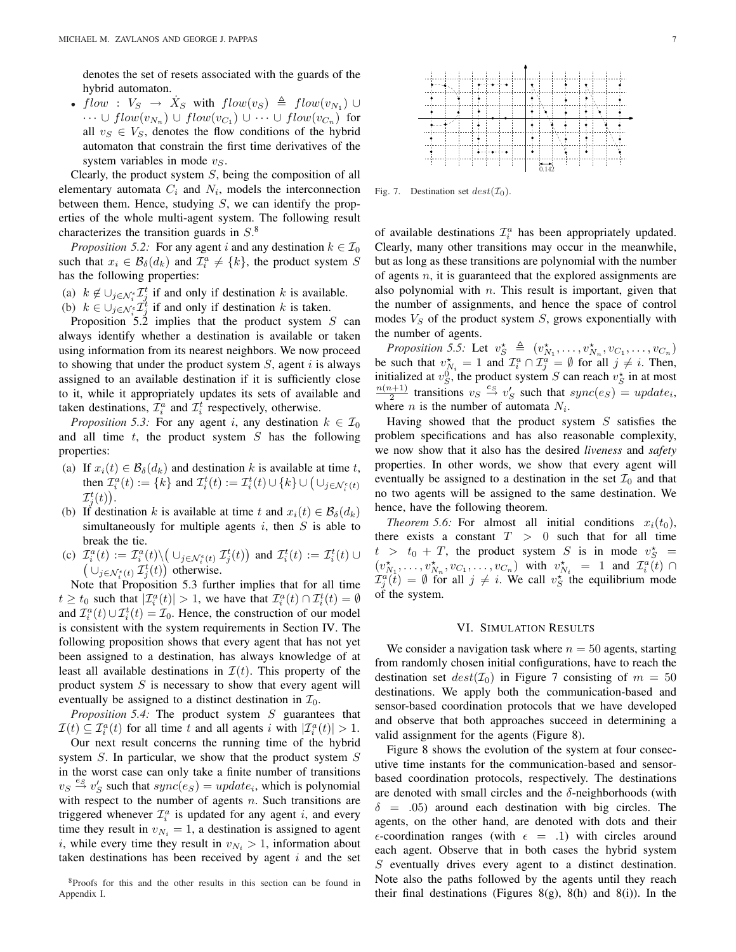denotes the set of resets associated with the guards of the hybrid automaton.

• flow :  $V_S \rightarrow \dot{X}_S$  with  $flow(v_S) \triangleq flow(v_{N_1}) \cup$  $\cdots \cup flow(v_{N_n}) \cup flow(v_{C_1}) \cup \cdots \cup flow(v_{C_n})$  for all  $v_S \in V_S$ , denotes the flow conditions of the hybrid automaton that constrain the first time derivatives of the system variables in mode  $v_s$ .

Clearly, the product system  $S$ , being the composition of all elementary automata  $C_i$  and  $N_i$ , models the interconnection between them. Hence, studying  $S$ , we can identify the properties of the whole multi-agent system. The following result characterizes the transition guards in  $S^8$ .

*Proposition 5.2:* For any agent i and any destination  $k \in \mathcal{I}_0$ such that  $x_i \in \mathcal{B}_{\delta}(d_k)$  and  $\mathcal{I}_i^a \neq \{k\}$ , the product system S has the following properties:

(a)  $k \notin \bigcup_{j \in \mathcal{N}_{i}^{\epsilon}} \mathcal{I}_{j}^{t}$  if and only if destination k is available.

(b)  $k \in \bigcup_{j \in \mathcal{N}_{\xi}} \mathcal{I}_{j}^{t}$  if and only if destination k is taken.

Proposition 5.2 implies that the product system  $S$  can always identify whether a destination is available or taken using information from its nearest neighbors. We now proceed to showing that under the product system  $S$ , agent i is always assigned to an available destination if it is sufficiently close to it, while it appropriately updates its sets of available and taken destinations,  $\mathcal{I}_i^a$  and  $\mathcal{I}_i^t$  respectively, otherwise.

*Proposition 5.3:* For any agent i, any destination  $k \in \mathcal{I}_0$ and all time  $t$ , the product system  $S$  has the following properties:

- (a) If  $x_i(t) \in \mathcal{B}_{\delta}(d_k)$  and destination k is available at time t, If  $x_i(t) \in B_\delta(a_k)$  and destination  $\kappa$  is available at time  $t$ ,<br>then  $\mathcal{I}_i^a(t) := \{k\}$  and  $\mathcal{I}_i^t(t) := \mathcal{I}_i^t(t) \cup \{k\} \cup (\cup_{j \in \mathcal{N}_i^{\epsilon}(t)}$  $\mathcal{I}_j^t(t)$ ).
- (b) If destination k is available at time t and  $x_i(t) \in \mathcal{B}_{\delta}(d_k)$ simultaneously for multiple agents i, then  $S$  is able to break the tie. ¡ ¢
- (c)  $\mathcal{I}_i^a(t) := \mathcal{I}_i^a(t) \setminus$  $\cup_{j\in\mathcal{N}_i^\epsilon(t)}\mathcal{I}_j^t(t)$  $\mathcal{I}_i^a(t) := \mathcal{I}_i^a(t) \setminus (\cup_{j \in \mathcal{N}_i^{\epsilon}(t)} \mathcal{I}_j^t(t))$  and  $\mathcal{I}_i^t(t) := \mathcal{I}_i^t(t) \cup$  $\cup_{j \in \mathcal{N}_i^{\epsilon}(t)} \mathcal{I}_j^{t}(t)$  otherwise.

Note that Proposition 5.3 further implies that for all time  $t \geq t_0$  such that  $|\mathcal{I}_i^a(t)| > 1$ , we have that  $\mathcal{I}_i^a(t) \cap \mathcal{I}_i^t(t) = \emptyset$ and  $\mathcal{I}_i^a(t) \cup \mathcal{I}_i^t(t) = \mathcal{I}_0$ . Hence, the construction of our model is consistent with the system requirements in Section IV. The following proposition shows that every agent that has not yet been assigned to a destination, has always knowledge of at least all available destinations in  $\mathcal{I}(t)$ . This property of the product system  $S$  is necessary to show that every agent will eventually be assigned to a distinct destination in  $\mathcal{I}_0$ .

*Proposition 5.4:* The product system S guarantees that  $\mathcal{I}(t) \subseteq \mathcal{I}_i^a(t)$  for all time t and all agents i with  $|\mathcal{I}_i^a(t)| > 1$ .

Our next result concerns the running time of the hybrid system S. In particular, we show that the product system S in the worst case can only take a finite number of transitions  $v_S \stackrel{e_S}{\rightarrow} v_S'$  such that  $sync(e_S) = update_i$ , which is polynomial with respect to the number of agents  $n$ . Such transitions are triggered whenever  $\mathcal{I}_i^a$  is updated for any agent i, and every time they result in  $v_{N_i} = 1$ , a destination is assigned to agent i, while every time they result in  $v_{N_i} > 1$ , information about taken destinations has been received by agent  $i$  and the set



Fig. 7. Destination set  $dest(\mathcal{I}_0)$ .

of available destinations  $\mathcal{I}_i^a$  has been appropriately updated. Clearly, many other transitions may occur in the meanwhile, but as long as these transitions are polynomial with the number of agents  $n$ , it is guaranteed that the explored assignments are also polynomial with  $n$ . This result is important, given that the number of assignments, and hence the space of control modes  $V_S$  of the product system  $S$ , grows exponentially with the number of agents.

*Proposition 5.5:* Let  $v_S^* \triangleq (v_{N_1}^*, \ldots, v_{N_n}^*, v_{C_1}, \ldots, v_{C_n})$ be such that  $v_{N_i}^* = 1$  and  $\mathcal{I}_i^a \cap \mathcal{I}_j^a = \emptyset$  for all  $j \neq i$ . Then, initialized at  $v_S^0$ , the product system S can reach  $v_S^*$  in at most  $n(n+1)$  $\frac{1}{2}$  transitions  $v_S \stackrel{e_S}{\rightarrow} v_S'$  such that  $sync(e_S) = update_i$ , where *n* is the number of automata  $N_i$ .

Having showed that the product system  $S$  satisfies the problem specifications and has also reasonable complexity, we now show that it also has the desired *liveness* and *safety* properties. In other words, we show that every agent will eventually be assigned to a destination in the set  $\mathcal{I}_0$  and that no two agents will be assigned to the same destination. We hence, have the following theorem.

*Theorem 5.6:* For almost all initial conditions  $x_i(t_0)$ , there exists a constant  $T > 0$  such that for all time  $t > t_0 + T$ , the product system S is in mode  $v_S^*$  =  $(v_{N_1}^{\star},...,v_{N_n}^{\star},v_{C_1},...,v_{C_n})$  with  $v_{N_i}^{\star} = 1$  and  $\mathcal{I}_i^a(t) \cap$  $\mathcal{I}_{j}^{a}(t) = \emptyset$  for all  $j \neq i$ . We call  $v_{S}^{*}$  the equilibrium mode of the system.

## VI. SIMULATION RESULTS

We consider a navigation task where  $n = 50$  agents, starting from randomly chosen initial configurations, have to reach the destination set  $dest(\mathcal{I}_0)$  in Figure 7 consisting of  $m = 50$ destinations. We apply both the communication-based and sensor-based coordination protocols that we have developed and observe that both approaches succeed in determining a valid assignment for the agents (Figure 8).

Figure 8 shows the evolution of the system at four consecutive time instants for the communication-based and sensorbased coordination protocols, respectively. The destinations are denoted with small circles and the  $\delta$ -neighborhoods (with  $\delta$  = .05) around each destination with big circles. The agents, on the other hand, are denoted with dots and their  $\epsilon$ -coordination ranges (with  $\epsilon = .1$ ) with circles around each agent. Observe that in both cases the hybrid system S eventually drives every agent to a distinct destination. Note also the paths followed by the agents until they reach their final destinations (Figures  $8(g)$ ,  $8(h)$  and  $8(i)$ ). In the

 $8P$ roofs for this and the other results in this section can be found in Appendix I.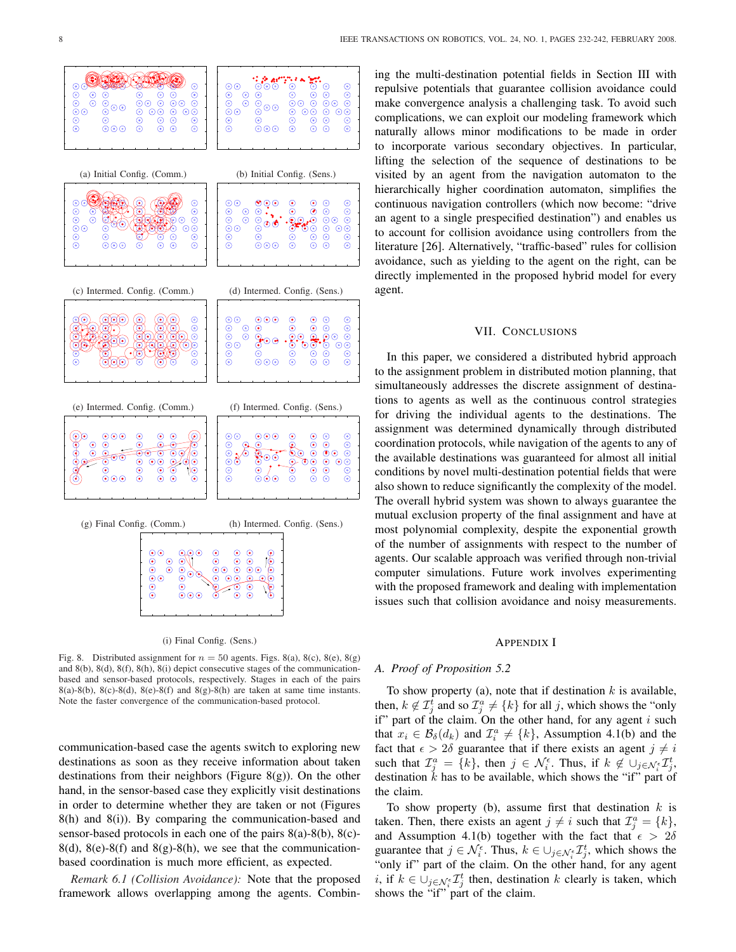



Fig. 8. Distributed assignment for  $n = 50$  agents. Figs. 8(a), 8(c), 8(e), 8(g) and 8(b), 8(d), 8(f), 8(h), 8(i) depict consecutive stages of the communicationbased and sensor-based protocols, respectively. Stages in each of the pairs  $8(a)-8(b)$ ,  $8(c)-8(d)$ ,  $8(e)-8(f)$  and  $8(g)-8(h)$  are taken at same time instants. Note the faster convergence of the communication-based protocol.

communication-based case the agents switch to exploring new destinations as soon as they receive information about taken destinations from their neighbors (Figure 8(g)). On the other hand, in the sensor-based case they explicitly visit destinations in order to determine whether they are taken or not (Figures 8(h) and 8(i)). By comparing the communication-based and sensor-based protocols in each one of the pairs 8(a)-8(b), 8(c)-  $8(d)$ ,  $8(e)$ - $8(f)$  and  $8(g)$ - $8(h)$ , we see that the communicationbased coordination is much more efficient, as expected.

*Remark 6.1 (Collision Avoidance):* Note that the proposed framework allows overlapping among the agents. Combining the multi-destination potential fields in Section III with repulsive potentials that guarantee collision avoidance could make convergence analysis a challenging task. To avoid such complications, we can exploit our modeling framework which naturally allows minor modifications to be made in order to incorporate various secondary objectives. In particular, lifting the selection of the sequence of destinations to be visited by an agent from the navigation automaton to the hierarchically higher coordination automaton, simplifies the continuous navigation controllers (which now become: "drive an agent to a single prespecified destination") and enables us to account for collision avoidance using controllers from the literature [26]. Alternatively, "traffic-based" rules for collision avoidance, such as yielding to the agent on the right, can be directly implemented in the proposed hybrid model for every agent.

## VII. CONCLUSIONS

In this paper, we considered a distributed hybrid approach to the assignment problem in distributed motion planning, that simultaneously addresses the discrete assignment of destinations to agents as well as the continuous control strategies for driving the individual agents to the destinations. The assignment was determined dynamically through distributed coordination protocols, while navigation of the agents to any of the available destinations was guaranteed for almost all initial conditions by novel multi-destination potential fields that were also shown to reduce significantly the complexity of the model. The overall hybrid system was shown to always guarantee the mutual exclusion property of the final assignment and have at most polynomial complexity, despite the exponential growth of the number of assignments with respect to the number of agents. Our scalable approach was verified through non-trivial computer simulations. Future work involves experimenting with the proposed framework and dealing with implementation issues such that collision avoidance and noisy measurements.

#### APPENDIX I

#### *A. Proof of Proposition 5.2*

To show property (a), note that if destination  $k$  is available, then,  $k \notin \mathcal{I}_{j}^{t}$  and so  $\mathcal{I}_{j}^{a} \neq \{k\}$  for all j, which shows the "only" if" part of the claim. On the other hand, for any agent  $i$  such that  $x_i \in \mathcal{B}_{\delta}(d_k)$  and  $\mathcal{I}_i^a \neq \{k\}$ , Assumption 4.1(b) and the fact that  $\epsilon > 2\delta$  guarantee that if there exists an agent  $j \neq i$ such that  $\mathcal{I}_j^a = \{k\}$ , then  $j \in \mathcal{N}_i^{\epsilon}$ . Thus, if  $k \notin \cup_{j \in \mathcal{N}_i^{\epsilon}} \mathcal{I}_j^t$ , destination  $k$  has to be available, which shows the "if" part of the claim.

To show property (b), assume first that destination  $k$  is taken. Then, there exists an agent  $j \neq i$  such that  $\mathcal{I}^a_j = \{k\},\$ and Assumption 4.1(b) together with the fact that  $\epsilon > 2\delta$ guarantee that  $j \in \mathcal{N}_{i}^{\epsilon}$ . Thus,  $k \in \bigcup_{j \in \mathcal{N}_{i}^{\epsilon}} \mathcal{I}_{j}^{t}$ , which shows the "only if" part of the claim. On the other hand, for any agent i, if  $k \in \bigcup_{j \in \mathcal{N}_i^{\epsilon}} \mathcal{I}_j^t$  then, destination k clearly is taken, which shows the "if" part of the claim.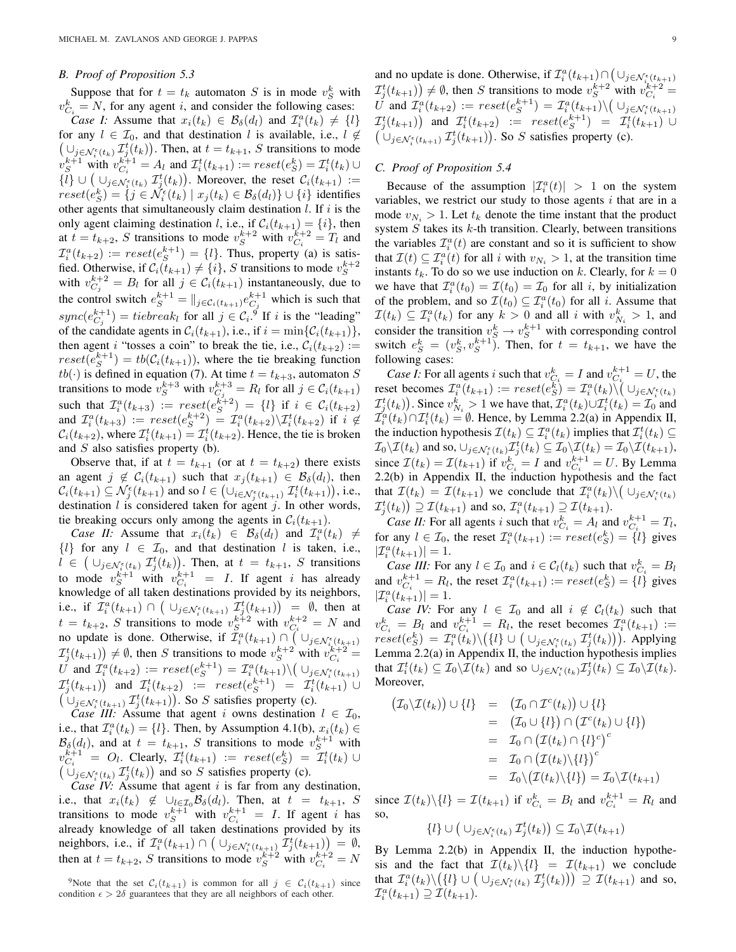#### *B. Proof of Proposition 5.3*

Suppose that for  $t = t_k$  automaton S is in mode  $v_S^k$  with  $v_{C_i}^k = N$ , for any agent i, and consider the following cases: *Case I:* Assume that  $x_i(t_k) \in \mathcal{B}_{\delta}(d_l)$  and  $\mathcal{I}_i^a(t_k) \neq \{l\}$ for any  $l \in \mathcal{I}_0$ , and that destination l is available, i.e.,  $l \notin$  $\cup_{j \in \mathcal{N}_i^{\epsilon}(t_k)} \mathcal{I}_j^t(t_k)$ . Then, at  $t = t_{k+1}$ , S transitions to mode  $v_S^{k+1}$  with  $v_{C_i}^{k+1} = A_l$  and  $\mathcal{I}_i^t(t_{k+1}) := reset(e_S^k) = \mathcal{I}_i^t(t_k) \cup$  $v_S$  with  $v_{C_i}$  =  $A_l$  and  $L_i(k+1) := reset(\varepsilon_S) = L_i(k) \cup$ <br>  $\{l\} \cup (\bigcup_{j \in \mathcal{N}_i^{\varepsilon}(t_k)} \mathcal{I}_j^t(t_k)).$  Moreover, the reset  $\mathcal{C}_i(t_{k+1}) :=$  $reset(e_S^k) = \{ j \in \tilde{\mathcal{N}_i^{\epsilon}}(t_k) \mid x_j(t_k) \in \mathcal{B}_{\delta}(d_l) \} \cup \{ i \}$  identifies other agents that simultaneously claim destination  $l$ . If  $i$  is the only agent claiming destination *l*, i.e., if  $C_i(t_{k+1}) = \{i\}$ , then at  $t = t_{k+2}$ , S transitions to mode  $v_S^{k+2}$  with  $v_{C_i}^{k+2} = T_l$  and  $\mathcal{I}_i^a(t_{k+2}) := reset(e_S^{k+1}) = \{l\}.$  Thus, property (a) is satisfied. Otherwise, if  $C_i(t_{k+1}) \neq \{i\}$ , S transitions to mode  $v_S^{k+2}$ with  $v_{C_j}^{k+2} = B_l$  for all  $j \in C_i(t_{k+1})$  instantaneously, due to the control switch  $e^{k+1} = ||_{j \in C_i(t_{k+1})} e^{k+1}$  which is such that  $sync(e_{C_j}^{k+1}) = tiebreak_l$  for all  $j \in C_i$ , if i is the "leading" of the candidate agents in  $C_i(t_{k+1}),$  i.e., if  $i = \min\{C_i(t_{k+1})\},$ then agent i "tosses a coin" to break the tie, i.e.,  $C_i(t_{k+2})$  :=  $reset(e^{k+1}_S) = tb(C_i(t_{k+1}))$ , where the tie breaking function  $tb(\cdot)$  is defined in equation (7). At time  $t = t_{k+3}$ , automaton S transitions to mode  $v_S^{k+3}$  with  $v_{C_j}^{k+3} = R_l$  for all  $j \in C_i(t_{k+1})$ such that  $\mathcal{I}_i^a(t_{k+3}) := \text{reset}(e_S^{k+2}) = \{l\}$  if  $i \in \mathcal{C}_i(t_{k+2})$ and  $\mathcal{I}_i^a(t_{k+3}) := reset(e_S^{k+2}) = \mathcal{I}_i^a(t_{k+2})\backslash \mathcal{I}_i^t(t_{k+2})$  if  $i \notin$  $\mathcal{C}_i(t_{k+2})$ , where  $\mathcal{I}_i^t(t_{k+1}) = \mathcal{I}_i^t(t_{k+2})$ . Hence, the tie is broken and S also satisfies property (b).

Observe that, if at  $t = t_{k+1}$  (or at  $t = t_{k+2}$ ) there exists an agent  $j \notin C_i(t_{k+1})$  such that  $x_j(t_{k+1}) \in \mathcal{B}_{\delta}(d_i)$ , then  $\mathcal{C}_i(t_{k+1}) \subseteq \mathcal{N}_j^{\epsilon}(t_{k+1})$  and so  $l \in (\cup_{i \in \mathcal{N}_j^{\epsilon}(t_{k+1})} \mathcal{I}_i^t(t_{k+1})),$  i.e., destination  $l$  is considered taken for agent  $j$ . In other words, tie breaking occurs only among the agents in  $C_i(t_{k+1})$ .

*Case II:* Assume that  $x_i(t_k) \in \mathcal{B}_{\delta}(d_l)$  and  $\mathcal{I}_i^a(t_k) \neq$ {*l*} for any  $l \in \mathcal{I}_0$ , and that destination *l* is taken, i.e.,  $l \in (\bigcup_{j \in \mathcal{N}_i^{\epsilon}(t_k)} \mathcal{I}_j^t(t_k)).$  Then, at  $t = t_{k+1}$ , S transitions to mode  $v_S^{k+1}$  with  $v_{C_i}^{k+1} = I$ . If agent i has already knowledge of all taken destinations provided by its neighbors, i.e., if  $\mathcal{I}_i^a(t_{k+1}) \cap \left( \bigcup_{j \in \mathcal{N}_i^{\epsilon}(t_{k+1})} \mathcal{I}_j^t(t_{k+1}) \right) = \emptyset$ , then at  $t = t_{k+2}$ , S transitions to mode  $v_S^{k+2}$  with  $v_{C_i}^{k+2} = N$  and no update is done. Otherwise, if  $\mathcal{I}_i^a(t_{k+1}) \cap (\cup_{j \in \mathcal{N}_{i_{k+1}}^{\epsilon}(t_{k+1})})$  $\mathcal{I}_{j}^{t}(t_{k+1}) \neq \emptyset$ , then S transitions to mode  $v_{S}^{k+2}$  with  $v_{C_i}^{k+2}$  $\tilde{U}$  and  $\tilde{T}_i^a(t_{k+2}) := reset(e_S^{k+1}) = \tilde{T}_i^a(t_{k+1}) \setminus (\cup_{j \in \mathcal{N}_i^{\epsilon}(t_{k+1})})$  $\mathcal{I}_j^t(t_{k+1})$  $\frac{i}{\sqrt{2}}$  $\mathcal{I}_j^t(t_{k+1})$  and  $\mathcal{I}_i^t(t_{k+2}) := \text{reset}(e^{k+1}) = \mathcal{I}_i^t(t_{k+1}) \cup$  $\cup_{j\in\mathcal{N}_i^{\epsilon}(t_{k+1})}\mathcal{I}_j^{t}(t_{k+1})$ ). So S satisfies property (c).

*Case III:* Assume that agent i owns destination  $l \in \mathcal{I}_0$ , i.e., that  $\mathcal{I}_i^a(t_k) = \{l\}$ . Then, by Assumption 4.1(b),  $x_i(t_k) \in$  $\mathcal{B}_{\delta}(d_l)$ , and at  $t = t_{k+1}$ , S transitions to mode  $v_S^{k+1}$  with  $v_{C_i}^{k+1} = O_l$ . Clearly,  $\mathcal{I}_i^t(t_{k+1}) := \text{reset}(e_S^k) = \mathcal{I}_i^t(t_k) \cup$  $\bigcup_{j \in \mathcal{N}_i^{\epsilon}(t_k)} \mathcal{I}_j^{t}(t_k)$  and so S satisfies property (c).

*Case IV:* Assume that agent *i* is far from any destination, i.e., that  $x_i(t_k) \notin \bigcup_{l \in \mathcal{I}_0} \mathcal{B}_{\delta}(d_l)$ . Then, at  $t = t_{k+1}$ , S transitions to mode  $v_S^{k+1}$  with  $v_{C_i}^{k+1} = I$ . If agent i has already knowledge of all taken destinations provided by its neighbors, i.e., if  $\mathcal{I}_i^a(t_{k+1}) \cap \left( \cup_{j \in \mathcal{N}_i^{\epsilon}(t_{k+1})} \mathcal{I}_j^t(t_{k+1}) \right) = \emptyset$ , then at  $t = t_{k+2}$ , S transitions to mode  $v_S^{k+2}$  with  $v_{C_i}^{k+2} = N$ 

and no update is done. Otherwise, if  $\mathcal{I}_i^a(t_{k+1}) \cap$ ¡ pdate is done. Otherwise, if  $\mathcal{I}_i^a(t_{k+1}) \cap (\cup_{j \in \mathcal{N}_i^{\epsilon}(t_{k+1})}$  $\mathcal{I}_{j}^{t}(t_{k+1}) \neq \emptyset$ , then S transitions to mode  $v_{S}^{k+2}$  with  $v_{C_i}^{k+2} =$ U and  $\mathcal{I}_i^a(t_{k+2}) := reset(e_s^{k+1}) = \mathcal{I}_i^a(t_{k+1}) \setminus (\cup_{j \in \mathcal{N}_i^s(t_{k+1})})$  $\mathcal{I}_j^t(t_{k+1})$  and  $\mathcal{I}_i^t(t_{k+2}) := \text{reset}(e^{k+1}) = \mathcal{I}_i^t(t_{k+1}) \cup$  $\cup_{j \in \mathcal{N}_i^{\epsilon}(t_{k+1})} \mathcal{I}_j^{t}(t_{k+1})$ ). So S satisfies property (c).

## *C. Proof of Proposition 5.4*

Because of the assumption  $|\mathcal{I}_i^a(t)| > 1$  on the system variables, we restrict our study to those agents  $i$  that are in a mode  $v_{N_i} > 1$ . Let  $t_k$  denote the time instant that the product system  $S$  takes its  $k$ -th transition. Clearly, between transitions the variables  $\mathcal{I}_i^a(t)$  are constant and so it is sufficient to show that  $\mathcal{I}(t) \subseteq \mathcal{I}_i^a(t)$  for all i with  $v_{N_i} > 1$ , at the transition time instants  $t_k$ . To do so we use induction on k. Clearly, for  $k = 0$ we have that  $\mathcal{I}_i^a(t_0) = \mathcal{I}(t_0) = \mathcal{I}_0$  for all *i*, by initialization of the problem, and so  $\mathcal{I}(t_0) \subseteq \mathcal{I}_i^a(t_0)$  for all *i*. Assume that  $\mathcal{I}(t_k) \subseteq \mathcal{I}_i^a(t_k)$  for any  $k > 0$  and all i with  $v_{N_i}^k > 1$ , and consider the transition  $v_S^k \to v_S^{k+1}$  with corresponding control switch  $e_S^k = (v_S^k, v_S^{k+1})$ . Then, for  $t = t_{k+1}$ , we have the following cases:

*Case I:* For all agents *i* such that  $v_{C_i}^k = I$  and  $v_{C_i}^{k+1} = U$ , the reset becomes  $\mathcal{I}_i^a(t_{k+1}) := reset(e_S^k) = \mathcal{I}_i^a(t_k) \setminus (\cup_{j \in \mathcal{N}_i^s(t_k)})$  $\mathcal{I}_j^t(t_k)$ ). Since  $v_{N_i}^k > 1$  we have that,  $\mathcal{I}_i^a(t_k) \cup \mathcal{I}_i^t(t_k) = \mathcal{I}_0$  and  $\mathcal{I}_i^a(t_k) \cap \mathcal{I}_i^t(t_k) = \emptyset$ . Hence, by Lemma 2.2(a) in Appendix II, the induction hypothesis  $\mathcal{I}(t_k) \subseteq \mathcal{I}_i^a(t_k)$  implies that  $\mathcal{I}_i^t(t_k) \subseteq$  $\mathcal{I}_0 \backslash \mathcal{I}(t_k)$  and so,  $\cup_{j \in \mathcal{N}_i^{\epsilon}(t_k)} \mathcal{I}_j^t(t_k) \subseteq \mathcal{I}_0 \backslash \mathcal{I}(t_k) = \mathcal{I}_0 \backslash \mathcal{I}(t_{k+1}),$ since  $\mathcal{I}(t_k) = \mathcal{I}(t_{k+1})$  if  $v_{C_i}^k = I$  and  $v_{C_i}^{k+1} = U$ . By Lemma 2.2(b) in Appendix II, the induction hypothesis and the fact that  $\mathcal{I}(t_k) = \mathcal{I}(t_{k+1})$  we conclude that  $\mathcal{I}_i^a(t_k) \setminus (\cup_{j \in \mathcal{N}_i^c(t_k)})$  $\mathcal{I}_j^t(t_k)$   $\supseteq \mathcal{I}(t_{k+1})$  and so,  $\mathcal{I}_i^a(t_{k+1}) \supseteq \mathcal{I}(t_{k+1})$ .

*Case II:* For all agents i such that  $v_{C_i}^k = A_l$  and  $v_{C_i}^{k+1} = T_l$ , for any  $l \in \mathcal{I}_0$ , the reset  $\mathcal{I}_i^a(t_{k+1}) := reset(e_S^k) = \{l\}$  gives  $|\mathcal{I}_i^a(t_{k+1})| = 1.$ 

*Case III:* For any  $l \in \mathcal{I}_0$  and  $i \in \mathcal{C}_l(t_k)$  such that  $v_{C_i}^k = B_l$ and  $v_{C_i}^{k+1} = R_l$ , the reset  $\mathcal{I}_i^a(t_{k+1}) := reset(e_S^k) = \{l\}$  gives  $|\mathcal{I}_i^a(t_{k+1})| = 1.$ 

*Case IV:* For any  $l \in \mathcal{I}_0$  and all  $i \notin \mathcal{C}_l(t_k)$  such that  $v_{C_i}^k = B_l$  and  $v_{C_i}^{k+1} = R_l$ , the reset becomes  $\mathcal{I}_i^a(t_{k+1}) :=$  $v_{C_i}^* = B_l$  and  $v_{C_i}^* = R_l$ , the reset becomes  $L_i^*(t_{k+1}) :=$ <br>  $reset(e_S^k) = T_i^a(t_k) \setminus (\{l\} \cup (\cup_{j \in \mathcal{N}_i^{\epsilon}(t_k)} T_j^t(t_k))).$  Applying Lemma 2.2(a) in Appendix II, the induction hypothesis implies that  $\mathcal{I}_i^t(t_k) \subseteq \mathcal{I}_0 \backslash \mathcal{I}(t_k)$  and so  $\cup_{j \in \mathcal{N}_i^{\epsilon}(t_k)} \mathcal{I}_j^t(t_k) \subseteq \mathcal{I}_0 \backslash \mathcal{I}(t_k)$ . Moreover,

$$
\begin{array}{rcl}\n(\mathcal{I}_0 \setminus \mathcal{I}(t_k)) \cup \{l\} & = & (\mathcal{I}_0 \cap \mathcal{I}^c(t_k)) \cup \{l\} \\
 & = & (\mathcal{I}_0 \cup \{l\}) \cap (\mathcal{I}^c(t_k) \cup \{l\}) \\
 & = & \mathcal{I}_0 \cap (\mathcal{I}(t_k) \cap \{l\}^c)^c \\
 & = & \mathcal{I}_0 \cap (\mathcal{I}(t_k) \setminus \{l\})^c \\
 & = & \mathcal{I}_0 \setminus (\mathcal{I}(t_k) \setminus \{l\}) = \mathcal{I}_0 \setminus \mathcal{I}(t_{k+1})\n\end{array}
$$

since  $\mathcal{I}(t_k) \setminus \{l\} = \mathcal{I}(t_{k+1})$  if  $v_{C_i}^k = B_l$  and  $v_{C_i}^{k+1} = R_l$  and so, ¢

$$
\{l\} \cup \left(\cup_{j \in \mathcal{N}_i^{\epsilon}(t_k)} \mathcal{I}_j^t(t_k)\right) \subseteq \mathcal{I}_0 \backslash \mathcal{I}(t_{k+1})
$$

By Lemma 2.2(b) in Appendix II, the induction hypothesis and the fact that  $\mathcal{I}(t_k)\backslash\{l\} = \mathcal{I}(t_{k+1})$  we conclude sis and the fact that  $L(t_k)\setminus {\{t\}} = L(t_{k+1})$  we conclude<br>that  $\mathcal{I}_i^a(t_k)\setminus (\{l\} \cup (\cup_{j\in \mathcal{N}_i^{\epsilon}(t_k)} \mathcal{I}_j^t(t_k))) \supseteq \mathcal{I}(t_{k+1})$  and so,  $\mathcal{I}_i^a(t_{k+1}) \supseteq \mathcal{I}(t_{k+1}).$ 

<sup>&</sup>lt;sup>9</sup>Note that the set  $C_i(t_{k+1})$  is common for all  $j \in C_i(t_{k+1})$  since condition  $\epsilon > 2\delta$  guarantees that they are all neighbors of each other.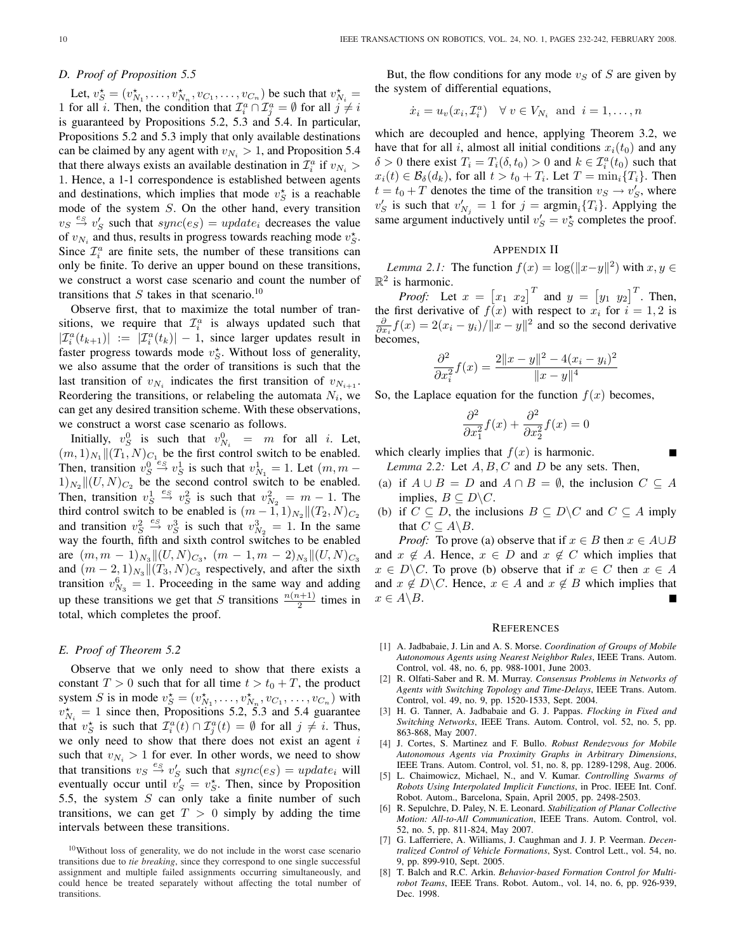#### *D. Proof of Proposition 5.5*

Let,  $v_S^* = (v_{N_1}^*, \dots, v_{N_n}^*, v_{C_1}, \dots, v_{C_n})$  be such that  $v_{N_i}^* =$ 1 for all i. Then, the condition that  $\mathcal{I}_i^a \cap \mathcal{I}_j^a = \emptyset$  for all  $j \neq i$ is guaranteed by Propositions 5.2, 5.3 and 5.4. In particular, Propositions 5.2 and 5.3 imply that only available destinations can be claimed by any agent with  $v_{N_i} > 1$ , and Proposition 5.4 that there always exists an available destination in  $\mathcal{I}_i^a$  if  $v_{N_i}$ 1. Hence, a 1-1 correspondence is established between agents and destinations, which implies that mode  $v_S^*$  is a reachable mode of the system S. On the other hand, every transition  $v_S \stackrel{e_S}{\rightarrow} v_S'$  such that  $sync(e_S) = update_i$  decreases the value of  $v_{N_i}$  and thus, results in progress towards reaching mode  $v_S^*$ . Since  $\mathcal{I}_i^a$  are finite sets, the number of these transitions can only be finite. To derive an upper bound on these transitions, we construct a worst case scenario and count the number of transitions that S takes in that scenario.<sup>10</sup>

Observe first, that to maximize the total number of transitions, we require that  $\mathcal{I}_i^a$  is always updated such that  $|\mathcal{I}_i^a(t_{k+1})| := |\mathcal{I}_i^a(t_k)| - 1$ , since larger updates result in faster progress towards mode  $v_S^*$ . Without loss of generality, we also assume that the order of transitions is such that the last transition of  $v_{N_i}$  indicates the first transition of  $v_{N_{i+1}}$ . Reordering the transitions, or relabeling the automata  $N_i$ , we can get any desired transition scheme. With these observations, we construct a worst case scenario as follows.

Initially,  $v_S^0$  is such that  $v_{N_i}^0 = m$  for all *i*. Let,  $(m, 1)_{N_1} || (T_1, N)_{C_1}$  be the first control switch to be enabled. Then, transition  $v_S^0 \stackrel{e_S}{\rightarrow} v_S^1$  is such that  $v_{N_1}^1 = 1$ . Let  $(m, m 1)_{N_2} \|(U, N)_{C_2}$  be the second control switch to be enabled. Then, transition  $v_S^1 \stackrel{es}{\rightarrow} v_S^2$  is such that  $v_{N_2}^2 = m - 1$ . The third control switch to be enabled is  $(m-1,1)_{N_2} || (T_2,N)_{C_2}$ and transition  $v_S^2 \stackrel{e_S}{\rightarrow} v_S^3$  is such that  $v_{N_2}^3 = 1$ . In the same way the fourth, fifth and sixth control switches to be enabled are  $(m, m - 1)_{N_3} ||(U, N)_{C_3}, (m - 1, m - 2)_{N_3} ||(U, N)_{C_3}$ and  $(m-2,1)_{N_3}$   $\|(T_3,N)_{C_3}$  respectively, and after the sixth transition  $v_{N_3}^6 = 1$ . Proceeding in the same way and adding up these transitions we get that S transitions  $\frac{n(n+1)}{2}$  times in total, which completes the proof.

#### *E. Proof of Theorem 5.2*

Observe that we only need to show that there exists a constant  $T > 0$  such that for all time  $t > t_0 + T$ , the product system S is in mode  $v_S^* = (v_{N_1}^*, \dots, v_{N_n}^*, v_{C_1}, \dots, v_{C_n})$  with  $v_{N_i}^* = 1$  since then, Propositions 5.2, 5.3 and 5.4 guarantee that  $v_S^*$  is such that  $\mathcal{I}_i^a(t) \cap \mathcal{I}_j^a(t) = \emptyset$  for all  $j \neq i$ . Thus, we only need to show that there does not exist an agent  $i$ such that  $v_{N_i} > 1$  for ever. In other words, we need to show that transitions  $v_S \stackrel{e_S}{\rightarrow} v'_S$  such that  $sync(e_S) = update_i$  will eventually occur until  $\tilde{v}'_S = v_S^*$ . Then, since by Proposition 5.5, the system  $S$  can only take a finite number of such transitions, we can get  $T > 0$  simply by adding the time intervals between these transitions.

But, the flow conditions for any mode  $v<sub>S</sub>$  of S are given by the system of differential equations,

$$
\dot{x}_i = u_v(x_i, \mathcal{I}_i^a) \quad \forall \ v \in V_{N_i} \text{ and } i = 1, \dots, n
$$

which are decoupled and hence, applying Theorem 3.2, we have that for all i, almost all initial conditions  $x_i(t_0)$  and any  $\delta > 0$  there exist  $T_i = T_i(\delta, t_0) > 0$  and  $k \in \mathcal{I}_i^a(t_0)$  such that  $x_i(t) \in \mathcal{B}_{\delta}(d_k)$ , for all  $t > t_0 + T_i$ . Let  $T = \min_i \{T_i\}$ . Then  $t = t_0 + T$  denotes the time of the transition  $v_S \rightarrow v'_S$ , where  $v_S'$  is such that  $v_{N_j}' = 1$  for  $j = \text{argmin}_i \{T_i\}$ . Applying the same argument inductively until  $v'_S = v_S^*$  completes the proof.

## APPENDIX II

*Lemma 2.1:* The function  $f(x) = \log(||x-y||^2)$  with  $x, y \in$  $\mathbb{R}^2$  is harmonic. £ £

*Proof:* Let  $x =$  $[x_1 \ x_2]^T$  and  $y =$  $y_1$   $y_2$ <sup>T</sup>. Then, the first derivative of  $f(x)$  with respect to  $x_i$  for  $i = 1, 2$  is  $\frac{\partial}{\partial x_i} f(x) = 2(x_i - y_i) / ||x - y||^2$  and so the second derivative becomes,

$$
\frac{\partial^2}{\partial x_i^2} f(x) = \frac{2||x - y||^2 - 4(x_i - y_i)^2}{||x - y||^4}
$$

So, the Laplace equation for the function  $f(x)$  becomes,

$$
\frac{\partial^2}{\partial x_1^2} f(x) + \frac{\partial^2}{\partial x_2^2} f(x) = 0
$$

which clearly implies that  $f(x)$  is harmonic.

*Lemma 2.2:* Let  $A, B, C$  and  $D$  be any sets. Then,

- (a) if  $A \cup B = D$  and  $A \cap B = \emptyset$ , the inclusion  $C \subseteq A$ implies,  $B \subseteq D \backslash C$ .
- (b) if  $C \subseteq D$ , the inclusions  $B \subseteq D \backslash C$  and  $C \subseteq A$  imply that  $C \subseteq A \backslash B$ .

*Proof:* To prove (a) observe that if  $x \in B$  then  $x \in A \cup B$ and  $x \notin A$ . Hence,  $x \in D$  and  $x \notin C$  which implies that  $x \in D\backslash C$ . To prove (b) observe that if  $x \in C$  then  $x \in A$ and  $x \notin D\backslash C$ . Hence,  $x \in A$  and  $x \notin B$  which implies that  $x \in A \backslash B$ .

#### **REFERENCES**

- [1] A. Jadbabaie, J. Lin and A. S. Morse. *Coordination of Groups of Mobile Autonomous Agents using Nearest Neighbor Rules*, IEEE Trans. Autom. Control, vol. 48, no. 6, pp. 988-1001, June 2003.
- [2] R. Olfati-Saber and R. M. Murray. *Consensus Problems in Networks of Agents with Switching Topology and Time-Delays*, IEEE Trans. Autom. Control, vol. 49, no. 9, pp. 1520-1533, Sept. 2004.
- [3] H. G. Tanner, A. Jadbabaie and G. J. Pappas. *Flocking in Fixed and Switching Networks*, IEEE Trans. Autom. Control, vol. 52, no. 5, pp. 863-868, May 2007.
- [4] J. Cortes, S. Martinez and F. Bullo. *Robust Rendezvous for Mobile Autonomous Agents via Proximity Graphs in Arbitrary Dimensions*, IEEE Trans. Autom. Control, vol. 51, no. 8, pp. 1289-1298, Aug. 2006.
- [5] L. Chaimowicz, Michael, N., and V. Kumar. *Controlling Swarms of Robots Using Interpolated Implicit Functions*, in Proc. IEEE Int. Conf. Robot. Autom., Barcelona, Spain, April 2005, pp. 2498-2503.
- [6] R. Sepulchre, D. Paley, N. E. Leonard. *Stabilization of Planar Collective Motion: All-to-All Communication*, IEEE Trans. Autom. Control, vol. 52, no. 5, pp. 811-824, May 2007.
- [7] G. Lafferriere, A. Williams, J. Caughman and J. J. P. Veerman. *Decentralized Control of Vehicle Formations*, Syst. Control Lett., vol. 54, no. 9, pp. 899-910, Sept. 2005.
- [8] T. Balch and R.C. Arkin. *Behavior-based Formation Control for Multirobot Teams*, IEEE Trans. Robot. Autom., vol. 14, no. 6, pp. 926-939, Dec. 1998.

<sup>10</sup>Without loss of generality, we do not include in the worst case scenario transitions due to *tie breaking*, since they correspond to one single successful assignment and multiple failed assignments occurring simultaneously, and could hence be treated separately without affecting the total number of transitions.